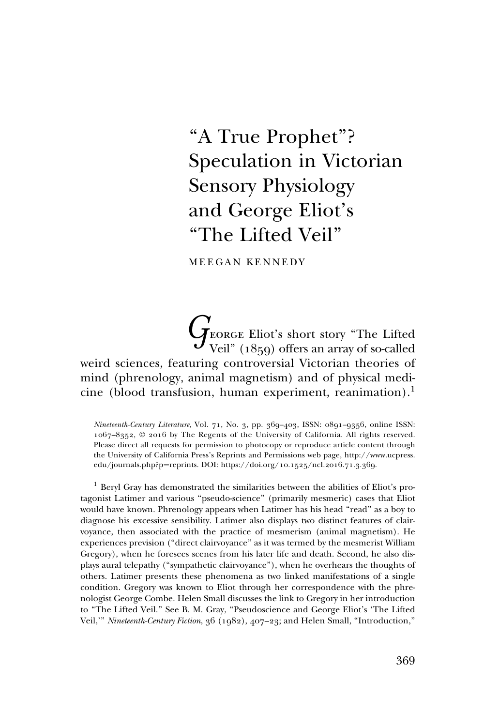# "A True Prophet"? Speculation in Victorian Sensory Physiology and George Eliot's ''The Lifted Veil''

MEEGAN KENNEDY

 $\int_{\mathrm{Veil}''\,(1859)}$  offers an array of so-called weird sciences, featuring controversial Victorian theories of mind (phrenology, animal magnetism) and of physical medicine (blood transfusion, human experiment, reanimation).<sup>1</sup>

Nineteenth-Century Literature, Vol. 71, No. 3, pp. 369–403, ISSN: 0891–9356, online ISSN: 1067–8352, © 2016 by The Regents of the University of California. All rights reserved. Please direct all requests for permission to photocopy or reproduce article content through the University of California Press's Reprints and Permissions web page, [http://www.ucpress.](http://www.ucpress.edu/journals.php?p=reprints) [edu/journals.php?p](http://www.ucpress.edu/journals.php?p=reprints)=[reprints.](http://www.ucpress.edu/journals.php?p=reprints) [DOI: https://doi.org/](https://doi.org/10.1525/ncl.2016.71.3.369)10.1525/ncl.2016.71.3.369.

<sup>1</sup> Beryl Gray has demonstrated the similarities between the abilities of Eliot's protagonist Latimer and various ''pseudo-science'' (primarily mesmeric) cases that Eliot would have known. Phrenology appears when Latimer has his head ''read'' as a boy to diagnose his excessive sensibility. Latimer also displays two distinct features of clairvoyance, then associated with the practice of mesmerism (animal magnetism). He experiences prevision (''direct clairvoyance'' as it was termed by the mesmerist William Gregory), when he foresees scenes from his later life and death. Second, he also displays aural telepathy (''sympathetic clairvoyance''), when he overhears the thoughts of others. Latimer presents these phenomena as two linked manifestations of a single condition. Gregory was known to Eliot through her correspondence with the phrenologist George Combe. Helen Small discusses the link to Gregory in her introduction to ''The Lifted Veil.'' See B. M. Gray, ''Pseudoscience and George Eliot's 'The Lifted Veil,''' Nineteenth-Century Fiction, 36 (1982), 407–23; and Helen Small, ''Introduction,''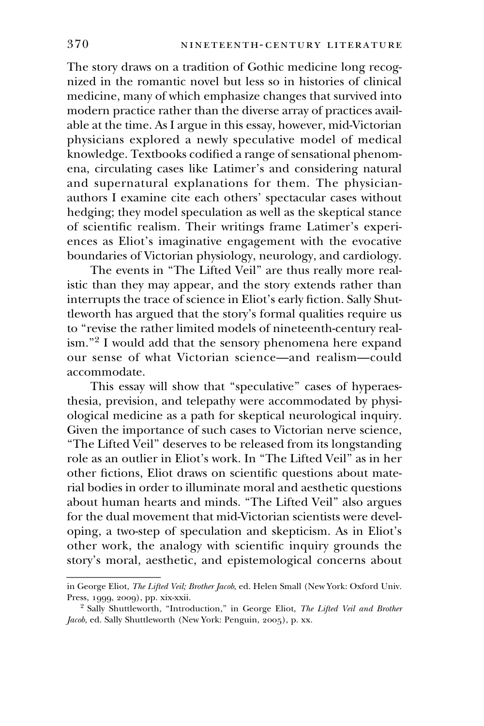The story draws on a tradition of Gothic medicine long recognized in the romantic novel but less so in histories of clinical medicine, many of which emphasize changes that survived into modern practice rather than the diverse array of practices available at the time. As I argue in this essay, however, mid-Victorian physicians explored a newly speculative model of medical knowledge. Textbooks codified a range of sensational phenomena, circulating cases like Latimer's and considering natural and supernatural explanations for them. The physicianauthors I examine cite each others' spectacular cases without hedging; they model speculation as well as the skeptical stance of scientific realism. Their writings frame Latimer's experiences as Eliot's imaginative engagement with the evocative boundaries of Victorian physiology, neurology, and cardiology.

The events in "The Lifted Veil" are thus really more realistic than they may appear, and the story extends rather than interrupts the trace of science in Eliot's early fiction. Sally Shuttleworth has argued that the story's formal qualities require us to ''revise the rather limited models of nineteenth-century realism.''2 I would add that the sensory phenomena here expand our sense of what Victorian science—and realism—could accommodate.

This essay will show that "speculative" cases of hyperaesthesia, prevision, and telepathy were accommodated by physiological medicine as a path for skeptical neurological inquiry. Given the importance of such cases to Victorian nerve science, ''The Lifted Veil'' deserves to be released from its longstanding role as an outlier in Eliot's work. In ''The Lifted Veil'' as in her other fictions, Eliot draws on scientific questions about material bodies in order to illuminate moral and aesthetic questions about human hearts and minds. ''The Lifted Veil'' also argues for the dual movement that mid-Victorian scientists were developing, a two-step of speculation and skepticism. As in Eliot's other work, the analogy with scientific inquiry grounds the istic than they may a<br>interrupts the trace of<br>the trace of the trace of the trace of<br>to "revise the rather l<br>ism."<sup>2</sup> I would add tl<br>our sense of what accommodate.<br>This essay will sl<br>thesia, prevision, and<br>ological medici story's moral, aesthetic, and epistemological concerns about

in George Eliot, The Lifted Veil; Brother Jacob, ed. Helen Small (New York: Oxford Univ. Press, 1999, 2009), pp. xix-xxii.

<sup>&</sup>lt;sup>2</sup> Sally Shuttleworth, "Introduction," in George Eliot, The Lifted Veil and Brother Jacob, ed. Sally Shuttleworth (New York: Penguin, 2005), p. xx.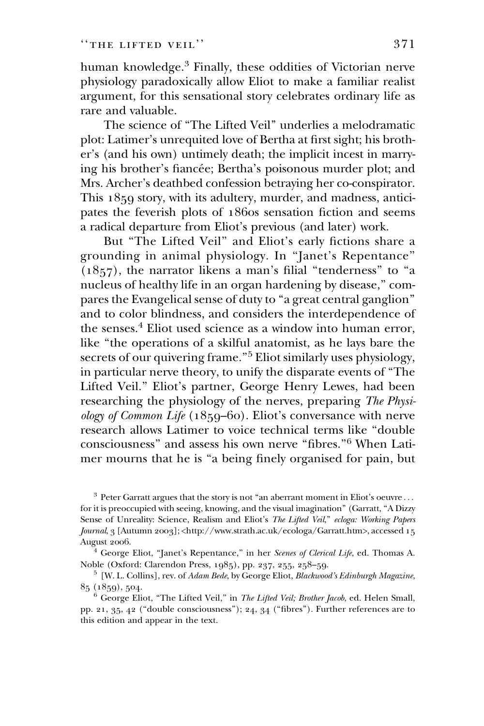human knowledge.<sup>3</sup> Finally, these oddities of Victorian nerve physiology paradoxically allow Eliot to make a familiar realist argument, for this sensational story celebrates ordinary life as rare and valuable.

The science of ''The Lifted Veil'' underlies a melodramatic plot: Latimer's unrequited love of Bertha at first sight; his brother's (and his own) untimely death; the implicit incest in marrying his brother's fiancée; Bertha's poisonous murder plot; and Mrs. Archer's deathbed confession betraying her co-conspirator. This 1859 story, with its adultery, murder, and madness, anticipates the feverish plots of 1860s sensation fiction and seems a radical departure from Eliot's previous (and later) work.

But "The Lifted Veil" and Eliot's early fictions share a grounding in animal physiology. In ''Janet's Repentance''  $(1857)$ , the narrator likens a man's filial "tenderness" to "a nucleus of healthy life in an organ hardening by disease,'' compares the Evangelical sense of duty to "a great central ganglion" and to color blindness, and considers the interdependence of the senses.<sup>4</sup> Eliot used science as a window into human error, like ''the operations of a skilful anatomist, as he lays bare the secrets of our quivering frame."<sup>5</sup> Eliot similarly uses physiology, in particular nerve theory, to unify the disparate events of ''The Lifted Veil.'' Eliot's partner, George Henry Lewes, had been researching the physiology of the nerves, preparing The Physiology of Common Life (1859–60). Eliot's conversance with nerve research allows Latimer to voice technical terms like ''double consciousness'' and assess his own nerve ''fibres.''6 When Latimer mourns that he is ''a being finely organised for pain, but

 $^3$  Peter Garratt argues that the story is not "an aberrant moment in Eliot's oeuvre  $\ldots$ for it is preoccupied with seeing, knowing, and the visual imagination'' (Garratt, ''A Dizzy Sense of Unreality: Science, Realism and Eliot's The Lifted Veil," ecloga: Working Papers Journal, 3 [Autumn 2003]; [<http://www.strath.ac.uk/ecologa/Garratt.htm>](http://www.strath.ac.uk/ecologa/Garratt.htm), accessed 15 August 2006.

 $4$  George Eliot, "Janet's Repentance," in her Scenes of Clerical Life, ed. Thomas A. Noble (Oxford: Clarendon Press, 1985), pp. 237, 255, 258–59.

<sup>5</sup> [W. L. Collins], rev. of Adam Bede, by George Eliot, Blackwood's Edinburgh Magazine, 85 (1859), 504.

<sup>6</sup> George Eliot, "The Lifted Veil," in *The Lifted Veil; Brother Jacob*, ed. Helen Small, pp. 21,  $35, 42$  ("double consciousness"); 24,  $34$  ("fibres"). Further references are to this edition and appear in the text.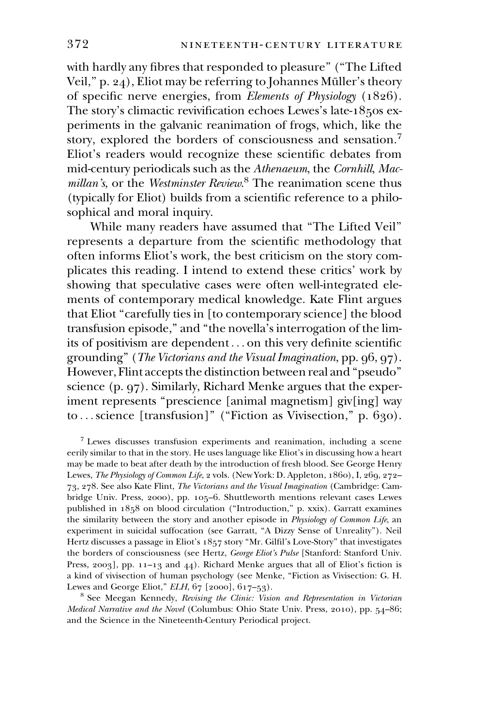with hardly any fibres that responded to pleasure'' (''The Lifted Veil,"  $p. 24$ ), Eliot may be referring to Johannes Müller's theory of specific nerve energies, from Elements of Physiology (1826). The story's climactic revivification echoes Lewes's late-1850s experiments in the galvanic reanimation of frogs, which, like the story, explored the borders of consciousness and sensation.<sup>7</sup> Eliot's readers would recognize these scientific debates from mid-century periodicals such as the Athenaeum, the Cornhill, Macmillan's, or the Westminster Review.<sup>8</sup> The reanimation scene thus (typically for Eliot) builds from a scientific reference to a philosophical and moral inquiry.

While many readers have assumed that ''The Lifted Veil'' represents a departure from the scientific methodology that often informs Eliot's work, the best criticism on the story complicates this reading. I intend to extend these critics' work by showing that speculative cases were often well-integrated elements of contemporary medical knowledge. Kate Flint argues that Eliot ''carefully ties in [to contemporary science] the blood transfusion episode,'' and ''the novella's interrogation of the limits of positivism are dependent... on this very definite scientific grounding'' (The Victorians and the Visual Imagination, pp. 96, 97). However, Flint accepts the distinction between real and ''pseudo'' science (p. 97). Similarly, Richard Menke argues that the experiment represents "prescience [animal magnetism] giv[ing] way to...science [transfusion]" ("Fiction as Vivisection," p. 630).

 $7$  Lewes discusses transfusion experiments and reanimation, including a scene eerily similar to that in the story. He uses language like Eliot's in discussing how a heart may be made to beat after death by the introduction of fresh blood. See George Henry Lewes, The Physiology of Common Life, 2 vols. (New York: D. Appleton, 1860), I, 269, 272– 73, 278. See also Kate Flint, The Victorians and the Visual Imagination (Cambridge: Cambridge Univ. Press, 2000), pp. 105–6. Shuttleworth mentions relevant cases Lewes published in 1858 on blood circulation (''Introduction,'' p. xxix). Garratt examines the similarity between the story and another episode in Physiology of Common Life, an experiment in suicidal suffocation (see Garratt, ''A Dizzy Sense of Unreality''). Neil Hertz discusses a passage in Eliot's 1857 story ''Mr. Gilfil's Love-Story'' that investigates the borders of consciousness (see Hertz, George Eliot's Pulse [Stanford: Stanford Univ. Press, 2003], pp. 11-13 and 44). Richard Menke argues that all of Eliot's fiction is a kind of vivisection of human psychology (see Menke, ''Fiction as Vivisection: G. H. Lewes and George Eliot,"  $ELH$ ,  $67$  [2000],  $617-53$ ).

<sup>8</sup> See Meegan Kennedy, Revising the Clinic: Vision and Representation in Victorian Medical Narrative and the Novel (Columbus: Ohio State Univ. Press, 2010), pp. 54–86; and the Science in the Nineteenth-Century Periodical project.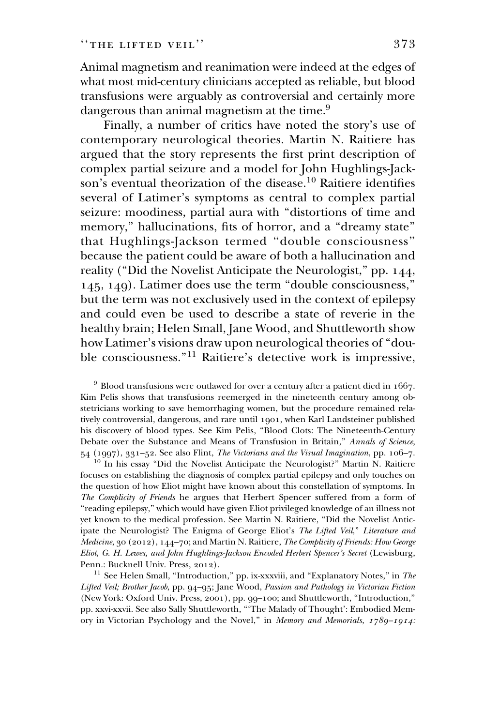Animal magnetism and reanimation were indeed at the edges of what most mid-century clinicians accepted as reliable, but blood transfusions were arguably as controversial and certainly more dangerous than animal magnetism at the time.<sup>9</sup>

Finally, a number of critics have noted the story's use of contemporary neurological theories. Martin N. Raitiere has argued that the story represents the first print description of complex partial seizure and a model for John Hughlings-Jackson's eventual theorization of the disease.<sup>10</sup> Raitiere identifies several of Latimer's symptoms as central to complex partial seizure: moodiness, partial aura with ''distortions of time and memory," hallucinations, fits of horror, and a "dreamy state" that Hughlings-Jackson termed ''double consciousness'' because the patient could be aware of both a hallucination and reality (''Did the Novelist Anticipate the Neurologist,'' pp. 144, 145, 149). Latimer does use the term ''double consciousness,'' but the term was not exclusively used in the context of epilepsy and could even be used to describe a state of reverie in the healthy brain; Helen Small, Jane Wood, and Shuttleworth show how Latimer's visions draw upon neurological theories of ''double consciousness.''<sup>11</sup> Raitiere's detective work is impressive,

 $9$  Blood transfusions were outlawed for over a century after a patient died in 1667. Kim Pelis shows that transfusions reemerged in the nineteenth century among obstetricians working to save hemorrhaging women, but the procedure remained relatively controversial, dangerous, and rare until 1901, when Karl Landsteiner published his discovery of blood types. See Kim Pelis, ''Blood Clots: The Nineteenth-Century Debate over the Substance and Means of Transfusion in Britain," Annals of Science, 54 (1997), 331–52. See also Flint, The Victorians and the Visual Imagination, pp. 106–7.

<sup>10</sup> In his essay ''Did the Novelist Anticipate the Neurologist?'' Martin N. Raitiere focuses on establishing the diagnosis of complex partial epilepsy and only touches on the question of how Eliot might have known about this constellation of symptoms. In The Complicity of Friends he argues that Herbert Spencer suffered from a form of ''reading epilepsy,'' which would have given Eliot privileged knowledge of an illness not yet known to the medical profession. See Martin N. Raitiere, ''Did the Novelist Anticipate the Neurologist? The Enigma of George Eliot's The Lifted Veil," Literature and Medicine, 30 (2012), 144-70; and Martin N. Raitiere, The Complicity of Friends: How George Eliot, G. H. Lewes, and John Hughlings-Jackson Encoded Herbert Spencer's Secret (Lewisburg, Penn.: Bucknell Univ. Press, 2012).

<sup>11</sup> See Helen Small, "Introduction," pp. ix-xxxviii, and "Explanatory Notes," in The Lifted Veil; Brother Jacob, pp. 94–95; Jane Wood, Passion and Pathology in Victorian Fiction (New York: Oxford Univ. Press, 2001), pp. 99–100; and Shuttleworth, ''Introduction,'' pp. xxvi-xxvii. See also Sally Shuttleworth, '''The Malady of Thought': Embodied Memory in Victorian Psychology and the Novel," in Memory and Memorials, 1789–1914: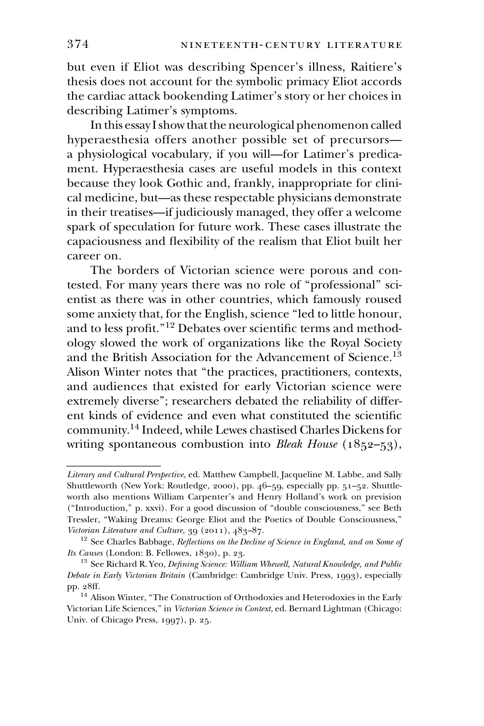but even if Eliot was describing Spencer's illness, Raitiere's thesis does not account for the symbolic primacy Eliot accords the cardiac attack bookending Latimer's story or her choices in describing Latimer's symptoms.

In this essay I show that the neurological phenomenon called hyperaesthesia offers another possible set of precursors a physiological vocabulary, if you will—for Latimer's predicament. Hyperaesthesia cases are useful models in this context because they look Gothic and, frankly, inappropriate for clinical medicine, but—as these respectable physicians demonstrate in their treatises—if judiciously managed, they offer a welcome spark of speculation for future work. These cases illustrate the capaciousness and flexibility of the realism that Eliot built her career on.

The borders of Victorian science were porous and contested. For many years there was no role of ''professional'' scientist as there was in other countries, which famously roused some anxiety that, for the English, science ''led to little honour, and to less profit.''12 Debates over scientific terms and methodology slowed the work of organizations like the Royal Society and the British Association for the Advancement of Science.<sup>13</sup> Alison Winter notes that ''the practices, practitioners, contexts, and audiences that existed for early Victorian science were extremely diverse''; researchers debated the reliability of different kinds of evidence and even what constituted the scientific community.14 Indeed, while Lewes chastised Charles Dickens for ment. Typeraestics because they look Gc<br>
cal medicine, but—as<br>
in their treatises—if j<br>
spark of speculation<br>
capaciousness and fle<br>
career on. The borders of<br>
tested. For many yea<br>
entist as there was ir<br>
some anxiety tha writing spontaneous combustion into Bleak House (1852–53),

Literary and Cultural Perspective, ed. Matthew Campbell, Jacqueline M. Labbe, and Sally Shuttleworth (New York: Routledge, 2000), pp. 46–59, especially pp. 51–52. Shuttleworth also mentions William Carpenter's and Henry Holland's work on prevision (''Introduction,'' p. xxvi). For a good discussion of ''double consciousness,'' see Beth Tressler, ''Waking Dreams: George Eliot and the Poetics of Double Consciousness,'' Victorian Literature and Culture, 39 (2011), 483-87.

 $12$  See Charles Babbage, Reflections on the Decline of Science in England, and on Some of Its Causes (London: B. Fellowes, 1830), p. 23.

 $^{13}$  See Richard R. Yeo, Defining Science: William Whewell, Natural Knowledge, and Public Debate in Early Victorian Britain (Cambridge: Cambridge Univ. Press, 1993), especially pp. 28ff.

<sup>&</sup>lt;sup>14</sup> Alison Winter, "The Construction of Orthodoxies and Heterodoxies in the Early Victorian Life Sciences," in Victorian Science in Context, ed. Bernard Lightman (Chicago: Univ. of Chicago Press, 1997), p. 25.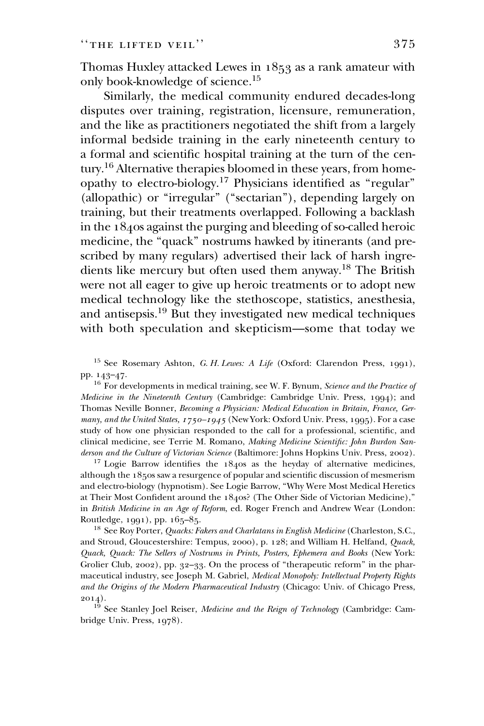Thomas Huxley attacked Lewes in 1853 as a rank amateur with only book-knowledge of science.15

Similarly, the medical community endured decades-long disputes over training, registration, licensure, remuneration, and the like as practitioners negotiated the shift from a largely informal bedside training in the early nineteenth century to a formal and scientific hospital training at the turn of the century.16 Alternative therapies bloomed in these years, from homeopathy to electro-biology.17 Physicians identified as ''regular'' (allopathic) or "irregular" ("sectarian"), depending largely on training, but their treatments overlapped. Following a backlash in the 1840s against the purging and bleeding of so-called heroic medicine, the "quack" nostrums hawked by itinerants (and prescribed by many regulars) advertised their lack of harsh ingredients like mercury but often used them anyway.18 The British were not all eager to give up heroic treatments or to adopt new medical technology like the stethoscope, statistics, anesthesia, and antisepsis.19 But they investigated new medical techniques with both speculation and skepticism—some that today we

<sup>15</sup> See Rosemary Ashton, G. H. Lewes: A Life (Oxford: Clarendon Press, 1991), pp. 143–47.

<sup>16</sup> For developments in medical training, see W. F. Bynum, Science and the Practice of Medicine in the Nineteenth Century (Cambridge: Cambridge Univ. Press, 1994); and Thomas Neville Bonner, Becoming a Physician: Medical Education in Britain, France, Germany, and the United States,  $1750 - 1945$  (New York: Oxford Univ. Press, 1995). For a case study of how one physician responded to the call for a professional, scientific, and clinical medicine, see Terrie M. Romano, Making Medicine Scientific: John Burdon Sanderson and the Culture of Victorian Science (Baltimore: Johns Hopkins Univ. Press, 2002).

<sup>17</sup> Logie Barrow identifies the 1840s as the heyday of alternative medicines, although the 1850s saw a resurgence of popular and scientific discussion of mesmerism and electro-biology (hypnotism). See Logie Barrow, ''Why Were Most Medical Heretics at Their Most Confident around the 1840s? (The Other Side of Victorian Medicine),'' in British Medicine in an Age of Reform, ed. Roger French and Andrew Wear (London: Routledge, 1991), pp. 165–85.

<sup>18</sup> See Roy Porter, *Quacks: Fakers and Charlatans in English Medicine* (Charleston, S.C., and Stroud, Gloucestershire: Tempus, 2000), p. 128; and William H. Helfand, Quack, Quack, Quack: The Sellers of Nostrums in Prints, Posters, Ephemera and Books (New York: Grolier Club, 2002), pp. 32–33. On the process of ''therapeutic reform'' in the pharmaceutical industry, see Joseph M. Gabriel, Medical Monopoly: Intellectual Property Rights and the Origins of the Modern Pharmaceutical Industry (Chicago: Univ. of Chicago Press, 2014).

 $1^{\overline{9}}$  See Stanley Joel Reiser, Medicine and the Reign of Technology (Cambridge: Cambridge Univ. Press, 1978).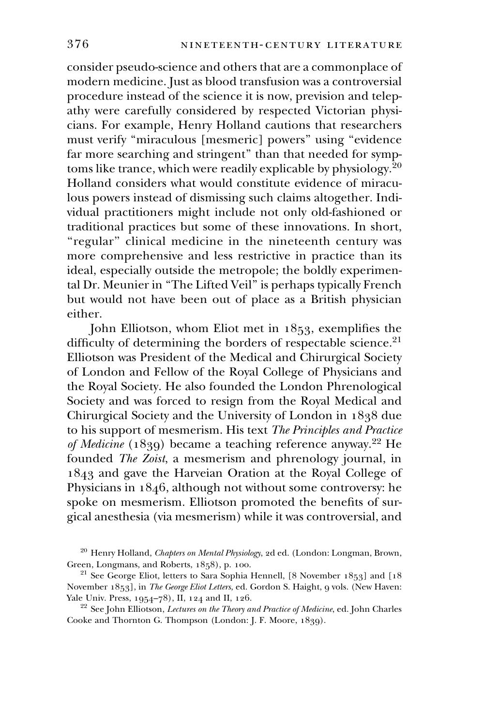consider pseudo-science and others that are a commonplace of modern medicine. Just as blood transfusion was a controversial procedure instead of the science it is now, prevision and telepathy were carefully considered by respected Victorian physicians. For example, Henry Holland cautions that researchers must verify ''miraculous [mesmeric] powers'' using ''evidence far more searching and stringent" than that needed for symptoms like trance, which were readily explicable by physiology. $2^{0}$ Holland considers what would constitute evidence of miraculous powers instead of dismissing such claims altogether. Individual practitioners might include not only old-fashioned or traditional practices but some of these innovations. In short, "regular" clinical medicine in the nineteenth century was more comprehensive and less restrictive in practice than its ideal, especially outside the metropole; the boldly experimental Dr. Meunier in ''The Lifted Veil'' is perhaps typically French but would not have been out of place as a British physician either.

John Elliotson, whom Eliot met in 1853, exemplifies the difficulty of determining the borders of respectable science.<sup>21</sup> Elliotson was President of the Medical and Chirurgical Society of London and Fellow of the Royal College of Physicians and the Royal Society. He also founded the London Phrenological Society and was forced to resign from the Royal Medical and Chirurgical Society and the University of London in 1838 due to his support of mesmerism. His text The Principles and Practice of Medicine (1839) became a teaching reference anyway.<sup>22</sup> He founded The Zoist, a mesmerism and phrenology journal, in 1843 and gave the Harveian Oration at the Royal College of Physicians in 1846, although not without some controversy: he spoke on mesmerism. Elliotson promoted the benefits of surgical anesthesia (via mesmerism) while it was controversial, and

<sup>&</sup>lt;sup>20</sup> Henry Holland, *Chapters on Mental Physiology*, 2d ed. (London: Longman, Brown, Green, Longmans, and Roberts, 1858), p. 100.

 $21$  See George Eliot, letters to Sara Sophia Hennell, [8 November 1853] and [18] November 1853], in The George Eliot Letters, ed. Gordon S. Haight, 9 vols. (New Haven: Yale Univ. Press, 1954–78), II, 124 and II, 126.

<sup>&</sup>lt;sup>22</sup> See John Elliotson, *Lectures on the Theory and Practice of Medicine*, ed. John Charles Cooke and Thornton G. Thompson (London: J. F. Moore, 1839).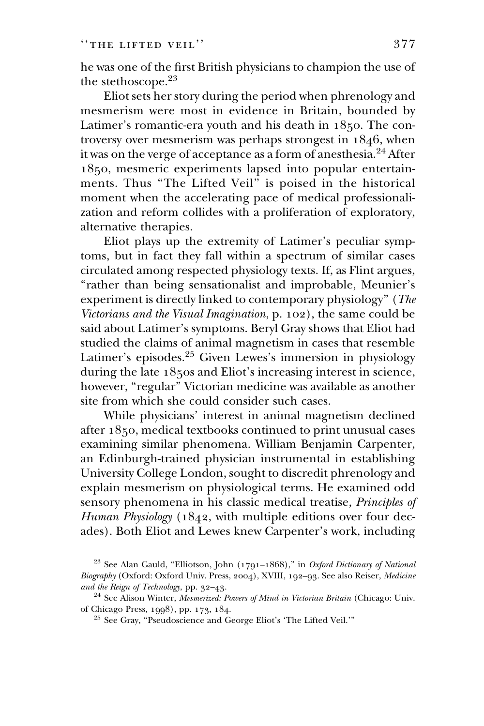he was one of the first British physicians to champion the use of the stethoscope.<sup>23</sup>

Eliot sets her story during the period when phrenology and mesmerism were most in evidence in Britain, bounded by Latimer's romantic-era youth and his death in 1850. The controversy over mesmerism was perhaps strongest in 1846, when it was on the verge of acceptance as a form of anesthesia.<sup>24</sup> After 1850, mesmeric experiments lapsed into popular entertainments. Thus ''The Lifted Veil'' is poised in the historical moment when the accelerating pace of medical professionalization and reform collides with a proliferation of exploratory, alternative therapies.

Eliot plays up the extremity of Latimer's peculiar symptoms, but in fact they fall within a spectrum of similar cases circulated among respected physiology texts. If, as Flint argues, ''rather than being sensationalist and improbable, Meunier's experiment is directly linked to contemporary physiology'' (The Victorians and the Visual Imagination, p. 102), the same could be said about Latimer's symptoms. Beryl Gray shows that Eliot had studied the claims of animal magnetism in cases that resemble Latimer's episodes.<sup>25</sup> Given Lewes's immersion in physiology during the late 1850s and Eliot's increasing interest in science, however, "regular" Victorian medicine was available as another site from which she could consider such cases.

While physicians' interest in animal magnetism declined after 1850, medical textbooks continued to print unusual cases examining similar phenomena. William Benjamin Carpenter, an Edinburgh-trained physician instrumental in establishing University College London, sought to discredit phrenology and explain mesmerism on physiological terms. He examined odd sensory phenomena in his classic medical treatise, Principles of Human Physiology (1842, with multiple editions over four decades). Both Eliot and Lewes knew Carpenter's work, including

<sup>&</sup>lt;sup>23</sup> See Alan Gauld, "Elliotson, John (1791–1868)," in Oxford Dictionary of National Biography (Oxford: Oxford Univ. Press, 2004), XVIII, 192–93. See also Reiser, Medicine and the Reign of Technology, pp. 32–43.

<sup>&</sup>lt;sup>24</sup> See Alison Winter, Mesmerized: Powers of Mind in Victorian Britain (Chicago: Univ. of Chicago Press, 1998), pp. 173, 184.

<sup>&</sup>lt;sup>25</sup> See Gray, "Pseudoscience and George Eliot's 'The Lifted Veil.'"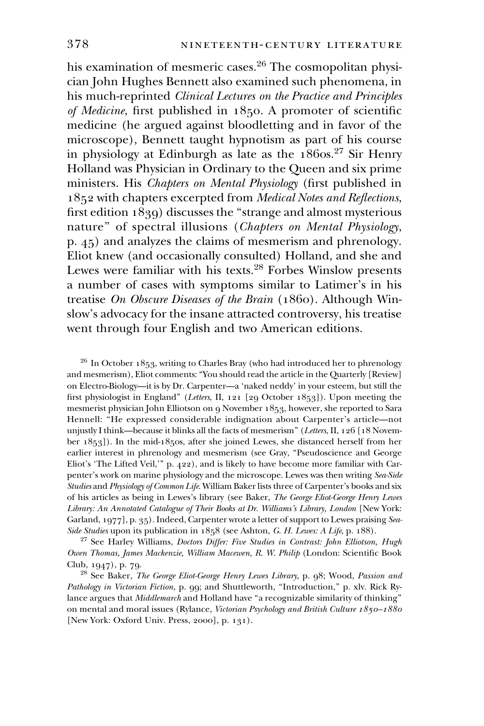his examination of mesmeric cases.<sup>26</sup> The cosmopolitan physician John Hughes Bennett also examined such phenomena, in his much-reprinted Clinical Lectures on the Practice and Principles of Medicine, first published in 1850. A promoter of scientific medicine (he argued against bloodletting and in favor of the microscope), Bennett taught hypnotism as part of his course in physiology at Edinburgh as late as the  $186$ os.<sup>27</sup> Sir Henry Holland was Physician in Ordinary to the Queen and six prime ministers. His Chapters on Mental Physiology (first published in 1852 with chapters excerpted from Medical Notes and Reflections, first edition 1839) discusses the ''strange and almost mysterious nature'' of spectral illusions (Chapters on Mental Physiology, p. 45) and analyzes the claims of mesmerism and phrenology. Eliot knew (and occasionally consulted) Holland, and she and Lewes were familiar with his texts.<sup>28</sup> Forbes Winslow presents a number of cases with symptoms similar to Latimer's in his treatise On Obscure Diseases of the Brain (1860). Although Winslow's advocacy for the insane attracted controversy, his treatise went through four English and two American editions.

 $26$  In October 1853, writing to Charles Bray (who had introduced her to phrenology and mesmerism), Eliot comments: ''You should read the article in the Quarterly [Review] on Electro-Biology—it is by Dr. Carpenter—a 'naked neddy' in your esteem, but still the first physiologist in England'' (Letters, II, 121 [29 October 1853]). Upon meeting the mesmerist physician John Elliotson on 9 November 1853, however, she reported to Sara Hennell: ''He expressed considerable indignation about Carpenter's article—not unjustly I think—because it blinks all the facts of mesmerism" (Letters, II, 126 [18 November 1853]). In the mid-1850s, after she joined Lewes, she distanced herself from her earlier interest in phrenology and mesmerism (see Gray, ''Pseudoscience and George Eliot's 'The Lifted Veil,''' p. 422), and is likely to have become more familiar with Carpenter's work on marine physiology and the microscope. Lewes was then writing Sea-Side Studies and Physiology of Common Life. William Baker lists three of Carpenter's books and six of his articles as being in Lewes's library (see Baker, The George Eliot-George Henry Lewes Library: An Annotated Catalogue of Their Books at Dr. Williams's Library, London [New York: Garland, 1977], p. 35). Indeed, Carpenter wrote a letter of support to Lewes praising Sea-Side Studies upon its publication in 1858 (see Ashton, G. H. Lewes: A Life, p. 188).

<sup>27</sup> See Harley Williams, *Doctors Differ: Five Studies in Contrast: John Elliotson, Hugh* Owen Thomas, James Mackenzie, William Macewen, R. W. Philip (London: Scientific Book Club, 1947), p. 79.

<sup>28</sup> See Baker, The George Eliot-George Henry Lewes Library, p. 98; Wood, Passion and Pathology in Victorian Fiction, p. 99; and Shuttleworth, "Introduction," p. xlv. Rick Rylance argues that *Middlemarch* and Holland have "a recognizable similarity of thinking" on mental and moral issues (Rylance, Victorian Psychology and British Culture 1850–1880 [New York: Oxford Univ. Press, 2000], p. 131).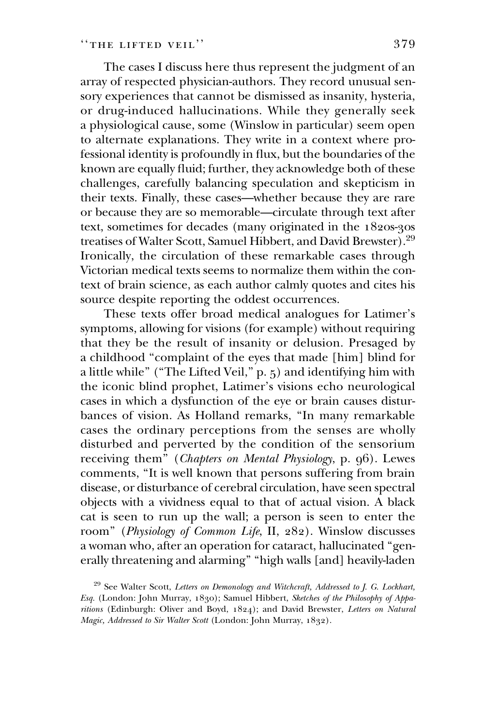The cases I discuss here thus represent the judgment of an array of respected physician-authors. They record unusual sensory experiences that cannot be dismissed as insanity, hysteria, or drug-induced hallucinations. While they generally seek a physiological cause, some (Winslow in particular) seem open to alternate explanations. They write in a context where professional identity is profoundly in flux, but the boundaries of the known are equally fluid; further, they acknowledge both of these challenges, carefully balancing speculation and skepticism in their texts. Finally, these cases—whether because they are rare or because they are so memorable—circulate through text after text, sometimes for decades (many originated in the 1820s-30s treatises of Walter Scott, Samuel Hibbert, and David Brewster).29 Ironically, the circulation of these remarkable cases through Victorian medical texts seems to normalize them within the context of brain science, as each author calmly quotes and cites his source despite reporting the oddest occurrences.

These texts offer broad medical analogues for Latimer's symptoms, allowing for visions (for example) without requiring that they be the result of insanity or delusion. Presaged by a childhood ''complaint of the eyes that made [him] blind for a little while" ("The Lifted Veil," p. 5) and identifying him with the iconic blind prophet, Latimer's visions echo neurological cases in which a dysfunction of the eye or brain causes disturbances of vision. As Holland remarks, ''In many remarkable cases the ordinary perceptions from the senses are wholly disturbed and perverted by the condition of the sensorium receiving them" (Chapters on Mental Physiology, p. 96). Lewes comments, ''It is well known that persons suffering from brain disease, or disturbance of cerebral circulation, have seen spectral objects with a vividness equal to that of actual vision. A black cat is seen to run up the wall; a person is seen to enter the room'' (Physiology of Common Life, II, 282). Winslow discusses a woman who, after an operation for cataract, hallucinated ''generally threatening and alarming'' ''high walls [and] heavily-laden

<sup>&</sup>lt;sup>29</sup> See Walter Scott, Letters on Demonology and Witchcraft, Addressed to J. G. Lockhart, Esq. (London: John Murray, 1830); Samuel Hibbert, Sketches of the Philosophy of Apparitions (Edinburgh: Oliver and Boyd, 1824); and David Brewster, Letters on Natural Magic, Addressed to Sir Walter Scott (London: John Murray, 1832).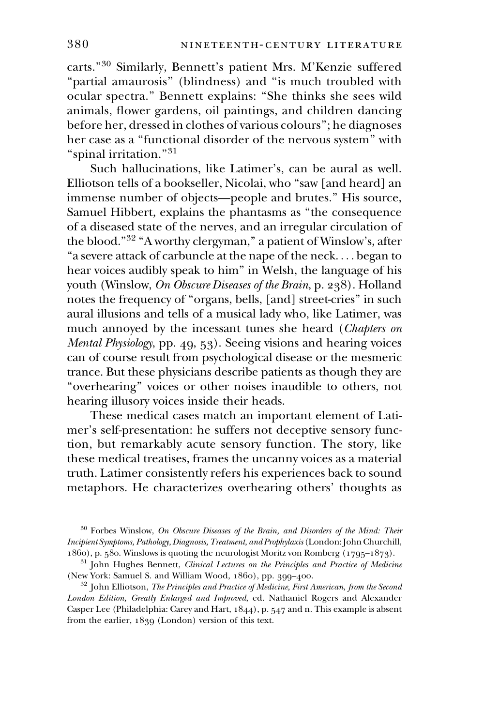carts.''<sup>30</sup> Similarly, Bennett's patient Mrs. M'Kenzie suffered "partial amaurosis" (blindness) and "is much troubled with ocular spectra.'' Bennett explains: ''She thinks she sees wild animals, flower gardens, oil paintings, and children dancing before her, dressed in clothes of various colours''; he diagnoses her case as a ''functional disorder of the nervous system'' with "spinal irritation."<sup>31</sup>

Such hallucinations, like Latimer's, can be aural as well. Elliotson tells of a bookseller, Nicolai, who ''saw [and heard] an immense number of objects—people and brutes.'' His source, Samuel Hibbert, explains the phantasms as ''the consequence of a diseased state of the nerves, and an irregular circulation of the blood."<sup>32</sup> "A worthy clergyman," a patient of Winslow's, after ''a severe attack of carbuncle at the nape of the neck. ... began to hear voices audibly speak to him'' in Welsh, the language of his youth (Winslow, On Obscure Diseases of the Brain, p. 238). Holland notes the frequency of ''organs, bells, [and] street-cries'' in such aural illusions and tells of a musical lady who, like Latimer, was much annoyed by the incessant tunes she heard (Chapters on Mental Physiology, pp. 49, 53). Seeing visions and hearing voices can of course result from psychological disease or the mesmeric trance. But these physicians describe patients as though they are ''overhearing'' voices or other noises inaudible to others, not hearing illusory voices inside their heads.

These medical cases match an important element of Latimer's self-presentation: he suffers not deceptive sensory function, but remarkably acute sensory function. The story, like these medical treatises, frames the uncanny voices as a material truth. Latimer consistently refers his experiences back to sound metaphors. He characterizes overhearing others' thoughts as

 $30$  Forbes Winslow, On Obscure Diseases of the Brain, and Disorders of the Mind: Their Incipient Symptoms, Pathology, Diagnosis, Treatment, and Prophylaxis (London: John Churchill, 1860), p. 580. Winslows is quoting the neurologist Moritz von Romberg (1795–1873).

<sup>&</sup>lt;sup>31</sup> John Hughes Bennett, Clinical Lectures on the Principles and Practice of Medicine (New York: Samuel S. and William Wood, 1860), pp. 399–400.

 $32$  John Elliotson, *The Principles and Practice of Medicine, First American, from the Second* London Edition, Greatly Enlarged and Improved, ed. Nathaniel Rogers and Alexander Casper Lee (Philadelphia: Carey and Hart, 1844), p. 547 and n. This example is absent from the earlier, 1839 (London) version of this text.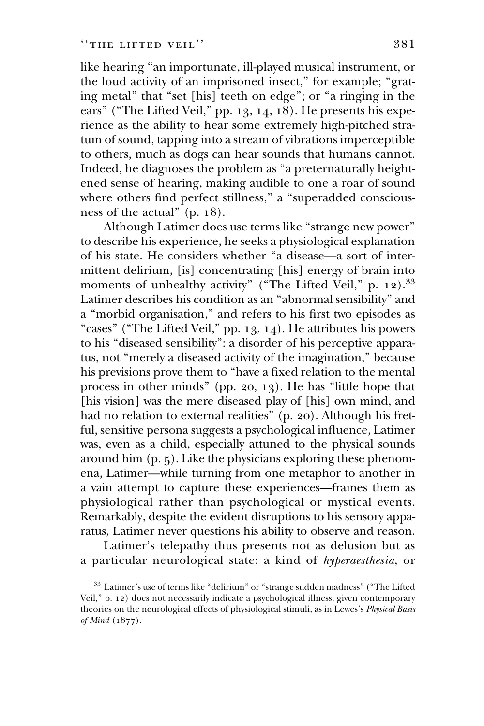like hearing ''an importunate, ill-played musical instrument, or the loud activity of an imprisoned insect," for example; "grating metal" that "set [his] teeth on edge"; or "a ringing in the ears" ("The Lifted Veil," pp. 13, 14, 18). He presents his experience as the ability to hear some extremely high-pitched stratum of sound, tapping into a stream of vibrations imperceptible to others, much as dogs can hear sounds that humans cannot. Indeed, he diagnoses the problem as ''a preternaturally heightened sense of hearing, making audible to one a roar of sound where others find perfect stillness," a "superadded consciousness of the actual'' (p. 18).

Although Latimer does use terms like ''strange new power'' to describe his experience, he seeks a physiological explanation of his state. He considers whether ''a disease—a sort of intermittent delirium, [is] concentrating [his] energy of brain into moments of unhealthy activity" ("The Lifted Veil," p. 12).<sup>33</sup> Latimer describes his condition as an ''abnormal sensibility'' and a ''morbid organisation,'' and refers to his first two episodes as "cases" ("The Lifted Veil," pp. 13, 14). He attributes his powers to his "diseased sensibility": a disorder of his perceptive apparatus, not "merely a diseased activity of the imagination," because his previsions prove them to ''have a fixed relation to the mental process in other minds'' (pp. 20, 13). He has ''little hope that [his vision] was the mere diseased play of [his] own mind, and had no relation to external realities'' (p. 20). Although his fretful, sensitive persona suggests a psychological influence, Latimer was, even as a child, especially attuned to the physical sounds around him (p. 5). Like the physicians exploring these phenomena, Latimer—while turning from one metaphor to another in a vain attempt to capture these experiences—frames them as physiological rather than psychological or mystical events. Remarkably, despite the evident disruptions to his sensory apparatus, Latimer never questions his ability to observe and reason.

Latimer's telepathy thus presents not as delusion but as a particular neurological state: a kind of hyperaesthesia, or

<sup>&</sup>lt;sup>33</sup> Latimer's use of terms like "delirium" or "strange sudden madness" ("The Lifted Veil,'' p. 12) does not necessarily indicate a psychological illness, given contemporary theories on the neurological effects of physiological stimuli, as in Lewes's Physical Basis of Mind (1877).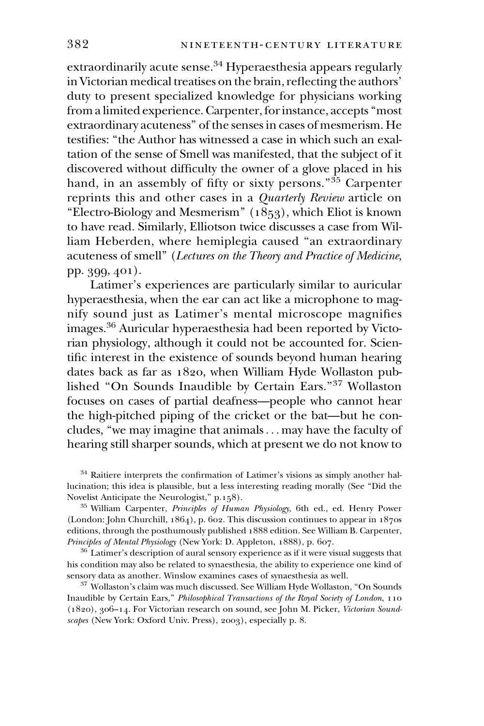extraordinarily acute sense. $34$  Hyperaesthesia appears regularly in Victorian medical treatises on the brain, reflecting the authors' duty to present specialized knowledge for physicians working from a limited experience. Carpenter, for instance, accepts ''most extraordinary acuteness'' of the senses in cases of mesmerism. He testifies: ''the Author has witnessed a case in which such an exaltation of the sense of Smell was manifested, that the subject of it discovered without difficulty the owner of a glove placed in his hand, in an assembly of fifty or sixty persons."<sup>35</sup> Carpenter reprints this and other cases in a Quarterly Review article on "Electro-Biology and Mesmerism" (1853), which Eliot is known to have read. Similarly, Elliotson twice discusses a case from William Heberden, where hemiplegia caused ''an extraordinary acuteness of smell'' (Lectures on the Theory and Practice of Medicine, pp. 399, 401).

Latimer's experiences are particularly similar to auricular hyperaesthesia, when the ear can act like a microphone to magnify sound just as Latimer's mental microscope magnifies images.36 Auricular hyperaesthesia had been reported by Victorian physiology, although it could not be accounted for. Scientific interest in the existence of sounds beyond human hearing dates back as far as 1820, when William Hyde Wollaston published ''On Sounds Inaudible by Certain Ears.''<sup>37</sup> Wollaston focuses on cases of partial deafness—people who cannot hear the high-pitched piping of the cricket or the bat—but he concludes, ''we may imagine that animals... may have the faculty of hearing still sharper sounds, which at present we do not know to

<sup>34</sup> Raitiere interprets the confirmation of Latimer's visions as simply another hallucination; this idea is plausible, but a less interesting reading morally (See ''Did the Novelist Anticipate the Neurologist,'' p.158).

<sup>35</sup> William Carpenter, Principles of Human Physiology, 6th ed., ed. Henry Power (London: John Churchill, 1864), p. 602. This discussion continues to appear in 1870s editions, through the posthumously published 1888 edition. See William B. Carpenter, Principles of Mental Physiology (New York: D. Appleton, 1888), p. 607.

 $36$  Latimer's description of aural sensory experience as if it were visual suggests that his condition may also be related to synaesthesia, the ability to experience one kind of sensory data as another. Winslow examines cases of synaesthesia as well.

 $^{37}$  Wollaston's claim was much discussed. See William Hyde Wollaston, "On Sounds Inaudible by Certain Ears,'' Philosophical Transactions of the Royal Society of London, 110 (1820), 306–14. For Victorian research on sound, see John M. Picker, Victorian Soundscapes (New York: Oxford Univ. Press), 2003), especially p. 8.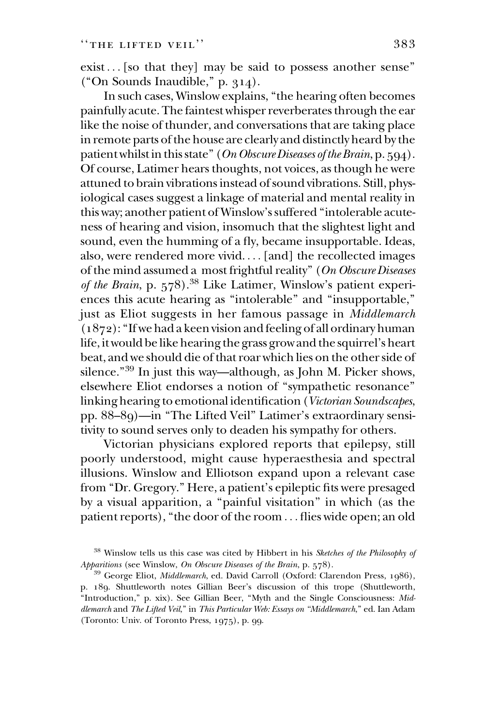exist ... [so that they] may be said to possess another sense'' (''On Sounds Inaudible,'' p. 314).

In such cases, Winslow explains, ''the hearing often becomes painfully acute. The faintest whisper reverberates through the ear like the noise of thunder, and conversations that are taking place in remote parts of the house are clearly and distinctly heard by the patient whilst in this state" (On Obscure Diseases of the Brain, p. 594). Of course, Latimer hears thoughts, not voices, as though he were attuned to brain vibrations instead of sound vibrations. Still, physiological cases suggest a linkage of material and mental reality in this way; another patient of Winslow's suffered ''intolerable acuteness of hearing and vision, insomuch that the slightest light and sound, even the humming of a fly, became insupportable. Ideas, also, were rendered more vivid. ... [and] the recollected images of the mind assumed a most frightful reality'' (On Obscure Diseases of the Brain, p. 578).<sup>38</sup> Like Latimer, Winslow's patient experiences this acute hearing as ''intolerable'' and ''insupportable,'' just as Eliot suggests in her famous passage in Middlemarch  $(1872)$ : "If we had a keen vision and feeling of all ordinary human life, it would be like hearing the grass grow and the squirrel's heart beat, and we should die of that roar which lies on the other side of silence."<sup>39</sup> In just this way—although, as John M. Picker shows, elsewhere Eliot endorses a notion of ''sympathetic resonance'' linking hearing to emotional identification (Victorian Soundscapes, pp. 88–89)—in ''The Lifted Veil'' Latimer's extraordinary sensitivity to sound serves only to deaden his sympathy for others.

Victorian physicians explored reports that epilepsy, still poorly understood, might cause hyperaesthesia and spectral illusions. Winslow and Elliotson expand upon a relevant case from ''Dr. Gregory.'' Here, a patient's epileptic fits were presaged by a visual apparition, a ''painful visitation'' in which (as the patient reports), "the door of the room ... flies wide open; an old

<sup>&</sup>lt;sup>38</sup> Winslow tells us this case was cited by Hibbert in his Sketches of the Philosophy of Apparitions (see Winslow, On Obscure Diseases of the Brain, p. 578).

<sup>&</sup>lt;sup>39</sup> George Eliot, Middlemarch, ed. David Carroll (Oxford: Clarendon Press, 1986), p. 189. Shuttleworth notes Gillian Beer's discussion of this trope (Shuttleworth, ''Introduction,'' p. xix). See Gillian Beer, ''Myth and the Single Consciousness: Middlemarch and The Lifted Veil," in This Particular Web: Essays on "Middlemarch," ed. Ian Adam (Toronto: Univ. of Toronto Press, 1975), p. 99.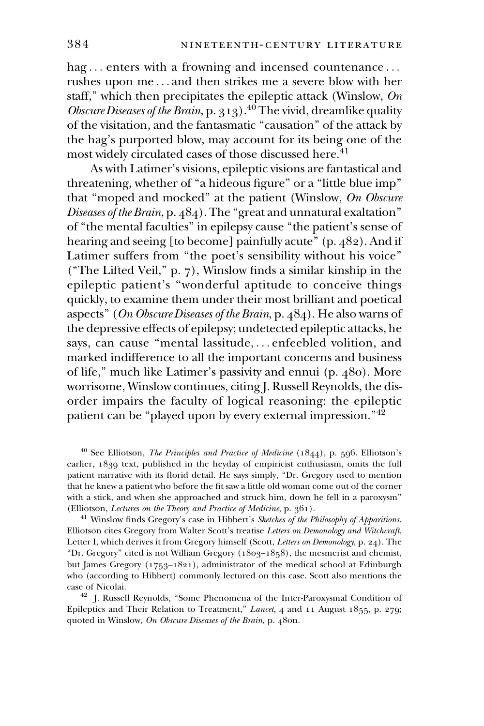hag... enters with a frowning and incensed countenance... rushes upon me ... and then strikes me a severe blow with her staff," which then precipitates the epileptic attack (Winslow,  $On$ Obscure Diseases of the Brain, p. 313).<sup>40</sup> The vivid, dreamlike quality of the visitation, and the fantasmatic ''causation'' of the attack by the hag's purported blow, may account for its being one of the most widely circulated cases of those discussed here.<sup>41</sup>

As with Latimer's visions, epileptic visions are fantastical and threatening, whether of "a hideous figure" or a "little blue imp" that "moped and mocked" at the patient (Winslow, On Obscure Diseases of the Brain, p. 484). The ''great and unnatural exaltation'' of ''the mental faculties'' in epilepsy cause ''the patient's sense of hearing and seeing [to become] painfully acute" (p. 482). And if Latimer suffers from "the poet's sensibility without his voice" (''The Lifted Veil,'' p. 7), Winslow finds a similar kinship in the epileptic patient's ''wonderful aptitude to conceive things quickly, to examine them under their most brilliant and poetical aspects'' (On Obscure Diseases of the Brain, p. 484). He also warns of the depressive effects of epilepsy; undetected epileptic attacks, he says, can cause ''mental lassitude, ... enfeebled volition, and marked indifference to all the important concerns and business of life,'' much like Latimer's passivity and ennui (p. 480). More worrisome, Winslow continues, citing J. Russell Reynolds, the disorder impairs the faculty of logical reasoning: the epileptic patient can be "played upon by every external impression."<sup>42</sup>

 $40$  See Elliotson, *The Principles and Practice of Medicine* (1844), p. 596. Elliotson's earlier, 1839 text, published in the heyday of empiricist enthusiasm, omits the full patient narrative with its florid detail. He says simply, ''Dr. Gregory used to mention that he knew a patient who before the fit saw a little old woman come out of the corner with a stick, and when she approached and struck him, down he fell in a paroxysm'' (Elliotson, Lectures on the Theory and Practice of Medicine, p. 361).

 $41$  Winslow finds Gregory's case in Hibbert's Sketches of the Philosophy of Apparitions. Elliotson cites Gregory from Walter Scott's treatise Letters on Demonology and Witchcraft, Letter I, which derives it from Gregory himself (Scott, Letters on Demonology, p. 24). The "Dr. Gregory" cited is not William Gregory  $(1803-1858)$ , the mesmerist and chemist, but James Gregory (1753–1821), administrator of the medical school at Edinburgh who (according to Hibbert) commonly lectured on this case. Scott also mentions the case of Nicolai.

<sup>42</sup> J. Russell Reynolds, "Some Phenomena of the Inter-Paroxysmal Condition of Epileptics and Their Relation to Treatment," Lancet, 4 and 11 August 1855, p. 279; quoted in Winslow, On Obscure Diseases of the Brain, p. 480n.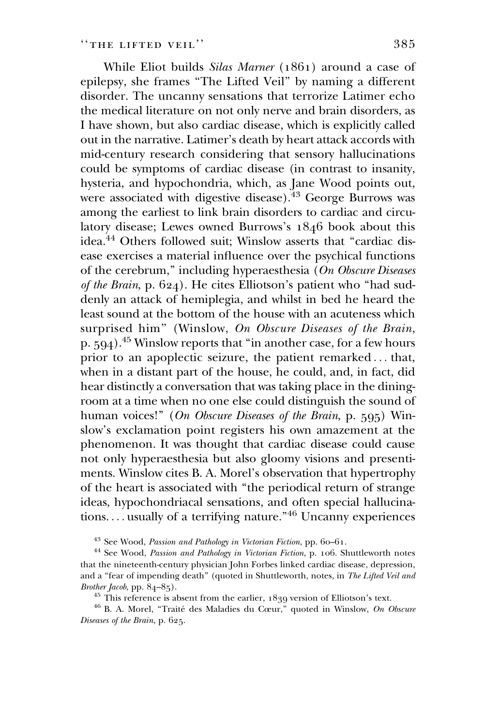While Eliot builds Silas Marner (1861) around a case of epilepsy, she frames ''The Lifted Veil'' by naming a different disorder. The uncanny sensations that terrorize Latimer echo the medical literature on not only nerve and brain disorders, as I have shown, but also cardiac disease, which is explicitly called out in the narrative. Latimer's death by heart attack accords with mid-century research considering that sensory hallucinations could be symptoms of cardiac disease (in contrast to insanity, hysteria, and hypochondria, which, as Jane Wood points out, were associated with digestive disease).<sup>43</sup> George Burrows was among the earliest to link brain disorders to cardiac and circulatory disease; Lewes owned Burrows's 1846 book about this idea.<sup>44</sup> Others followed suit; Winslow asserts that "cardiac disease exercises a material influence over the psychical functions of the cerebrum,'' including hyperaesthesia (On Obscure Diseases of the Brain, p. 624). He cites Elliotson's patient who ''had suddenly an attack of hemiplegia, and whilst in bed he heard the least sound at the bottom of the house with an acuteness which surprised him" (Winslow, On Obscure Diseases of the Brain, p. 594).45 Winslow reports that ''in another case, for a few hours prior to an apoplectic seizure, the patient remarked ... that, when in a distant part of the house, he could, and, in fact, did hear distinctly a conversation that was taking place in the diningroom at a time when no one else could distinguish the sound of human voices!" (On Obscure Diseases of the Brain, p. 595) Winslow's exclamation point registers his own amazement at the phenomenon. It was thought that cardiac disease could cause not only hyperaesthesia but also gloomy visions and presentiments. Winslow cites B. A. Morel's observation that hypertrophy of the heart is associated with ''the periodical return of strange ideas, hypochondriacal sensations, and often special hallucinations. ... usually of a terrifying nature.''46 Uncanny experiences

<sup>43</sup> See Wood, Passion and Pathology in Victorian Fiction, pp. 60-61.

 $44$  See Wood, Passion and Pathology in Victorian Fiction, p. 106. Shuttleworth notes that the nineteenth-century physician John Forbes linked cardiac disease, depression, and a "fear of impending death" (quoted in Shuttleworth, notes, in The Lifted Veil and Brother Jacob, pp. 84–85).

 $45$  This reference is absent from the earlier,  $1839$  version of Elliotson's text.

 $46$  B. A. Morel, "Traité des Maladies du Cœur," quoted in Winslow, On Obscure Diseases of the Brain, p. 625.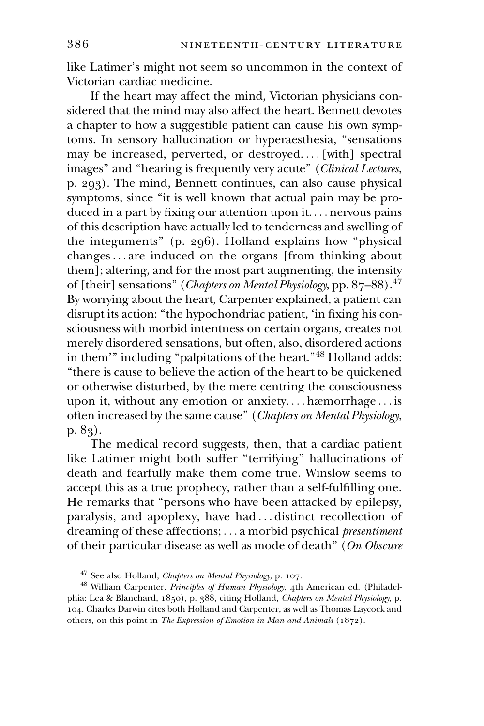like Latimer's might not seem so uncommon in the context of Victorian cardiac medicine.

If the heart may affect the mind, Victorian physicians considered that the mind may also affect the heart. Bennett devotes a chapter to how a suggestible patient can cause his own symptoms. In sensory hallucination or hyperaesthesia, ''sensations may be increased, perverted, or destroyed. ... [with] spectral images" and "hearing is frequently very acute" (Clinical Lectures, p. 293). The mind, Bennett continues, can also cause physical symptoms, since "it is well known that actual pain may be produced in a part by fixing our attention upon it. ... nervous pains of this description have actually led to tenderness and swelling of the integuments'' (p. 296). Holland explains how ''physical changes... are induced on the organs [from thinking about them]; altering, and for the most part augmenting, the intensity of [their] sensations" (Chapters on Mental Physiology, pp. 87–88).<sup>47</sup> By worrying about the heart, Carpenter explained, a patient can disrupt its action: ''the hypochondriac patient, 'in fixing his consciousness with morbid intentness on certain organs, creates not merely disordered sensations, but often, also, disordered actions in them'" including "palpitations of the heart."<sup>48</sup> Holland adds: ''there is cause to believe the action of the heart to be quickened or otherwise disturbed, by the mere centring the consciousness upon it, without any emotion or anxiety. ... hæmorrhage ... is often increased by the same cause'' (Chapters on Mental Physiology, p. 83).

The medical record suggests, then, that a cardiac patient like Latimer might both suffer "terrifying" hallucinations of death and fearfully make them come true. Winslow seems to accept this as a true prophecy, rather than a self-fulfilling one. He remarks that ''persons who have been attacked by epilepsy, paralysis, and apoplexy, have had ... distinct recollection of dreaming of these affections; ... a morbid psychical presentiment of their particular disease as well as mode of death'' (On Obscure

<sup>47</sup> See also Holland, Chapters on Mental Physiology, p. 107.

<sup>&</sup>lt;sup>48</sup> William Carpenter, Principles of Human Physiology, 4th American ed. (Philadelphia: Lea & Blanchard, 1850), p. 388, citing Holland, Chapters on Mental Physiology, p. 104. Charles Darwin cites both Holland and Carpenter, as well as Thomas Laycock and others, on this point in The Expression of Emotion in Man and Animals (1872).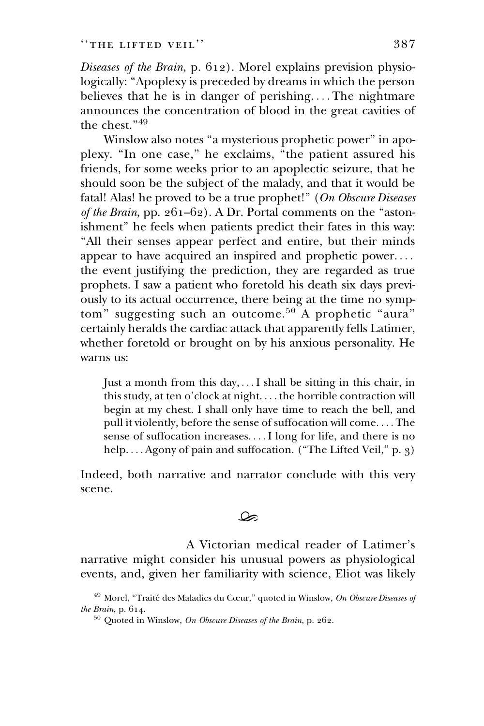Diseases of the Brain, p. 612). Morel explains prevision physiologically: ''Apoplexy is preceded by dreams in which the person believes that he is in danger of perishing. ... The nightmare announces the concentration of blood in the great cavities of the chest."<sup>49</sup>

Winslow also notes "a mysterious prophetic power" in apoplexy. ''In one case,'' he exclaims, ''the patient assured his friends, for some weeks prior to an apoplectic seizure, that he should soon be the subject of the malady, and that it would be fatal! Alas! he proved to be a true prophet!" (On Obscure Diseases of the Brain, pp.  $261-62$ ). A Dr. Portal comments on the "astonishment'' he feels when patients predict their fates in this way: ''All their senses appear perfect and entire, but their minds appear to have acquired an inspired and prophetic power. ... the event justifying the prediction, they are regarded as true prophets. I saw a patient who foretold his death six days previously to its actual occurrence, there being at the time no symptom" suggesting such an outcome.<sup>50</sup> A prophetic "aura" certainly heralds the cardiac attack that apparently fells Latimer, whether foretold or brought on by his anxious personality. He warns us:

Just a month from this day, ...I shall be sitting in this chair, in this study, at ten o'clock at night. ... the horrible contraction will begin at my chest. I shall only have time to reach the bell, and pull it violently, before the sense of suffocation will come. ... The sense of suffocation increases. ...I long for life, and there is no help.... Agony of pain and suffocation. ("The Lifted Veil,"  $p. 3$ )

Indeed, both narrative and narrator conclude with this very scene.

### ھک

A Victorian medical reader of Latimer's narrative might consider his unusual powers as physiological events, and, given her familiarity with science, Eliot was likely

 $49$  Morel, "Traité des Maladies du Cœur," quoted in Winslow, On Obscure Diseases of the Brain, p. 614.

<sup>50</sup> Quoted in Winslow, On Obscure Diseases of the Brain, p. 262.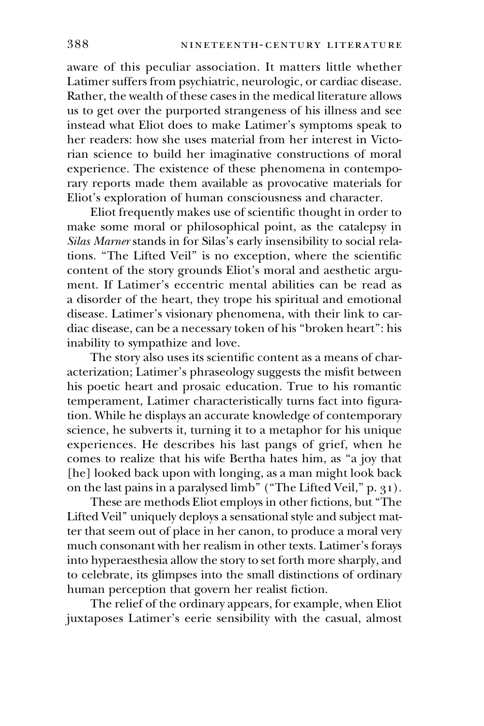aware of this peculiar association. It matters little whether Latimer suffers from psychiatric, neurologic, or cardiac disease. Rather, the wealth of these cases in the medical literature allows us to get over the purported strangeness of his illness and see instead what Eliot does to make Latimer's symptoms speak to her readers: how she uses material from her interest in Victorian science to build her imaginative constructions of moral experience. The existence of these phenomena in contemporary reports made them available as provocative materials for Eliot's exploration of human consciousness and character.

Eliot frequently makes use of scientific thought in order to make some moral or philosophical point, as the catalepsy in Silas Marner stands in for Silas's early insensibility to social relations. ''The Lifted Veil'' is no exception, where the scientific content of the story grounds Eliot's moral and aesthetic argument. If Latimer's eccentric mental abilities can be read as a disorder of the heart, they trope his spiritual and emotional disease. Latimer's visionary phenomena, with their link to cardiac disease, can be a necessary token of his ''broken heart'': his inability to sympathize and love.

The story also uses its scientific content as a means of characterization; Latimer's phraseology suggests the misfit between his poetic heart and prosaic education. True to his romantic temperament, Latimer characteristically turns fact into figuration. While he displays an accurate knowledge of contemporary science, he subverts it, turning it to a metaphor for his unique experiences. He describes his last pangs of grief, when he comes to realize that his wife Bertha hates him, as ''a joy that [he] looked back upon with longing, as a man might look back on the last pains in a paralysed limb" ("The Lifted Veil," p. 31).

These are methods Eliot employs in other fictions, but ''The Lifted Veil'' uniquely deploys a sensational style and subject matter that seem out of place in her canon, to produce a moral very much consonant with her realism in other texts. Latimer's forays into hyperaesthesia allow the story to set forth more sharply, and to celebrate, its glimpses into the small distinctions of ordinary human perception that govern her realist fiction.

The relief of the ordinary appears, for example, when Eliot juxtaposes Latimer's eerie sensibility with the casual, almost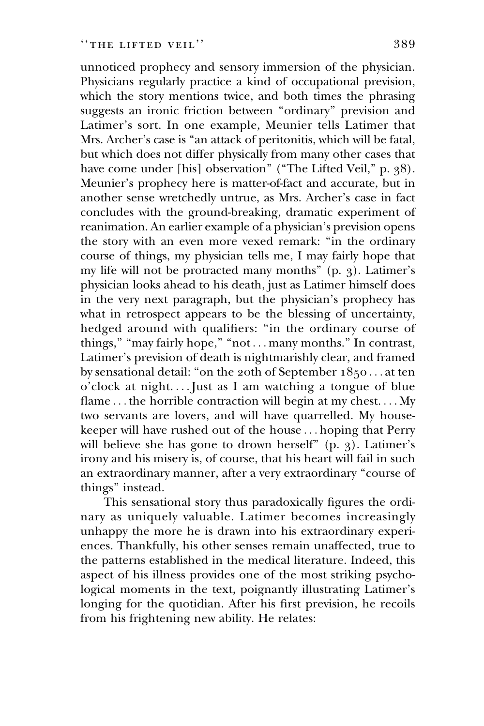unnoticed prophecy and sensory immersion of the physician. Physicians regularly practice a kind of occupational prevision, which the story mentions twice, and both times the phrasing suggests an ironic friction between "ordinary" prevision and Latimer's sort. In one example, Meunier tells Latimer that Mrs. Archer's case is ''an attack of peritonitis, which will be fatal, but which does not differ physically from many other cases that have come under [his] observation" ("The Lifted Veil," p. 38). Meunier's prophecy here is matter-of-fact and accurate, but in another sense wretchedly untrue, as Mrs. Archer's case in fact concludes with the ground-breaking, dramatic experiment of reanimation. An earlier example of a physician's prevision opens the story with an even more vexed remark: ''in the ordinary course of things, my physician tells me, I may fairly hope that my life will not be protracted many months'' (p. 3). Latimer's physician looks ahead to his death, just as Latimer himself does in the very next paragraph, but the physician's prophecy has what in retrospect appears to be the blessing of uncertainty, hedged around with qualifiers: "in the ordinary course of things," "may fairly hope," "not ... many months." In contrast, Latimer's prevision of death is nightmarishly clear, and framed by sensational detail: ''on the 20th of September 1850 ... at ten o'clock at night. ...Just as I am watching a tongue of blue flame ... the horrible contraction will begin at my chest.... My two servants are lovers, and will have quarrelled. My housekeeper will have rushed out of the house ... hoping that Perry will believe she has gone to drown herself" (p. 3). Latimer's irony and his misery is, of course, that his heart will fail in such an extraordinary manner, after a very extraordinary ''course of things'' instead.

This sensational story thus paradoxically figures the ordinary as uniquely valuable. Latimer becomes increasingly unhappy the more he is drawn into his extraordinary experiences. Thankfully, his other senses remain unaffected, true to the patterns established in the medical literature. Indeed, this aspect of his illness provides one of the most striking psychological moments in the text, poignantly illustrating Latimer's longing for the quotidian. After his first prevision, he recoils from his frightening new ability. He relates: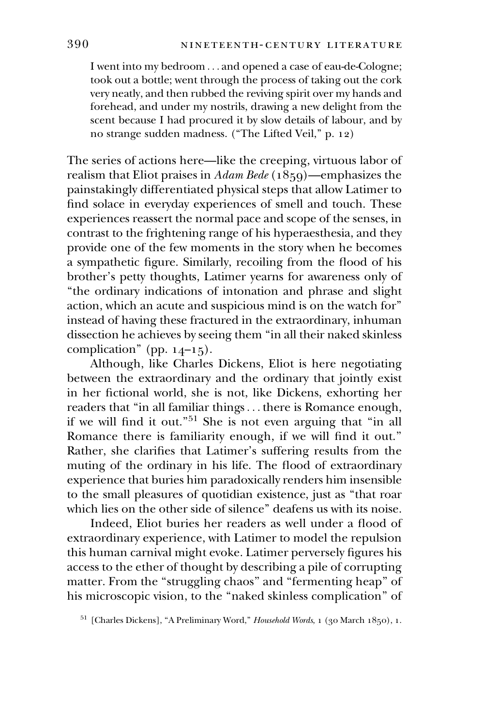I went into my bedroom ... and opened a case of eau-de-Cologne; took out a bottle; went through the process of taking out the cork very neatly, and then rubbed the reviving spirit over my hands and forehead, and under my nostrils, drawing a new delight from the scent because I had procured it by slow details of labour, and by no strange sudden madness. (''The Lifted Veil,'' p. 12)

The series of actions here—like the creeping, virtuous labor of realism that Eliot praises in Adam Bede ( $1859$ )—emphasizes the painstakingly differentiated physical steps that allow Latimer to find solace in everyday experiences of smell and touch. These experiences reassert the normal pace and scope of the senses, in contrast to the frightening range of his hyperaesthesia, and they provide one of the few moments in the story when he becomes a sympathetic figure. Similarly, recoiling from the flood of his brother's petty thoughts, Latimer yearns for awareness only of ''the ordinary indications of intonation and phrase and slight action, which an acute and suspicious mind is on the watch for'' instead of having these fractured in the extraordinary, inhuman dissection he achieves by seeing them ''in all their naked skinless complication" (pp.  $14-15$ ).

Although, like Charles Dickens, Eliot is here negotiating between the extraordinary and the ordinary that jointly exist in her fictional world, she is not, like Dickens, exhorting her readers that ''in all familiar things... there is Romance enough, if we will find it out."<sup>51</sup> She is not even arguing that "in all Romance there is familiarity enough, if we will find it out.'' Rather, she clarifies that Latimer's suffering results from the muting of the ordinary in his life. The flood of extraordinary experience that buries him paradoxically renders him insensible to the small pleasures of quotidian existence, just as ''that roar which lies on the other side of silence'' deafens us with its noise.

Indeed, Eliot buries her readers as well under a flood of extraordinary experience, with Latimer to model the repulsion this human carnival might evoke. Latimer perversely figures his access to the ether of thought by describing a pile of corrupting matter. From the "struggling chaos" and "fermenting heap" of his microscopic vision, to the ''naked skinless complication'' of

<sup>51</sup> [Charles Dickens], "A Preliminary Word," *Household Words*, 1 (30 March 1850), 1.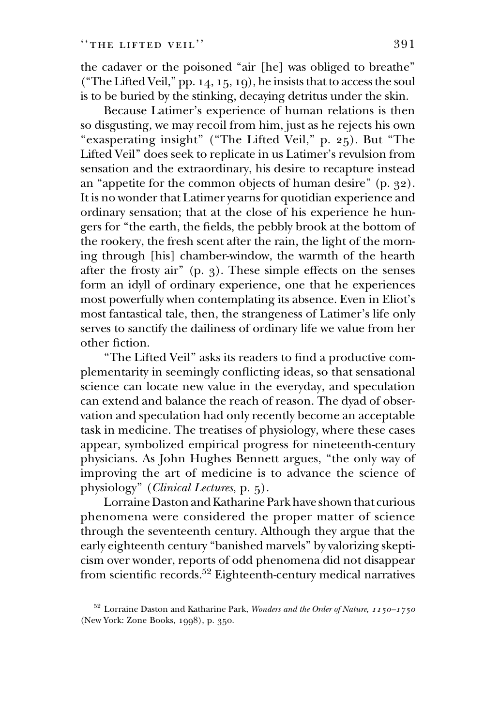the cadaver or the poisoned "air [he] was obliged to breathe" (''The Lifted Veil,'' pp. 14, 15, 19), he insists that to access the soul is to be buried by the stinking, decaying detritus under the skin.

Because Latimer's experience of human relations is then so disgusting, we may recoil from him, just as he rejects his own "exasperating insight" ("The Lifted Veil," p. 25). But "The Lifted Veil'' does seek to replicate in us Latimer's revulsion from sensation and the extraordinary, his desire to recapture instead an ''appetite for the common objects of human desire'' (p. 32). It is no wonder that Latimer yearns for quotidian experience and ordinary sensation; that at the close of his experience he hungers for ''the earth, the fields, the pebbly brook at the bottom of the rookery, the fresh scent after the rain, the light of the morning through [his] chamber-window, the warmth of the hearth after the frosty air'' (p. 3). These simple effects on the senses form an idyll of ordinary experience, one that he experiences most powerfully when contemplating its absence. Even in Eliot's most fantastical tale, then, the strangeness of Latimer's life only serves to sanctify the dailiness of ordinary life we value from her other fiction.

''The Lifted Veil'' asks its readers to find a productive complementarity in seemingly conflicting ideas, so that sensational science can locate new value in the everyday, and speculation can extend and balance the reach of reason. The dyad of observation and speculation had only recently become an acceptable task in medicine. The treatises of physiology, where these cases appear, symbolized empirical progress for nineteenth-century physicians. As John Hughes Bennett argues, ''the only way of improving the art of medicine is to advance the science of physiology'' (Clinical Lectures, p. 5).

Lorraine Daston and Katharine Park have shown that curious phenomena were considered the proper matter of science through the seventeenth century. Although they argue that the early eighteenth century ''banished marvels'' by valorizing skepticism over wonder, reports of odd phenomena did not disappear from scientific records.<sup>52</sup> Eighteenth-century medical narratives

 $^{52}$  Lorraine Daston and Katharine Park, Wonders and the Order of Nature, 1150–1750 (New York: Zone Books, 1998), p. 350.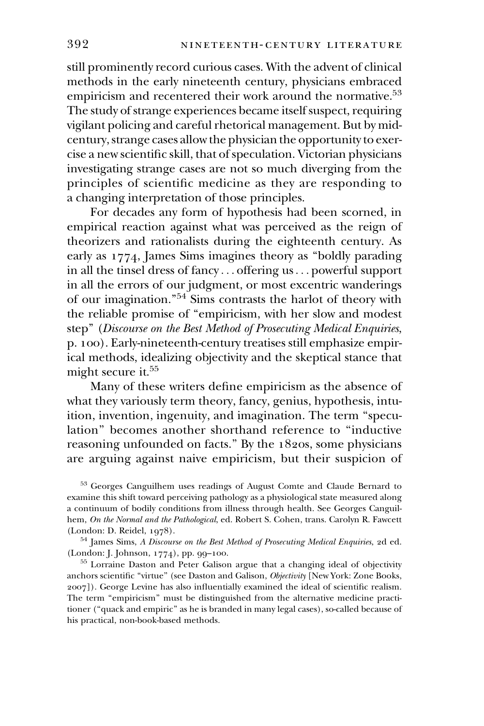still prominently record curious cases. With the advent of clinical methods in the early nineteenth century, physicians embraced empiricism and recentered their work around the normative.<sup>53</sup> The study of strange experiences became itself suspect, requiring vigilant policing and careful rhetorical management. But by midcentury, strange cases allow the physician the opportunity to exercise a new scientific skill, that of speculation. Victorian physicians investigating strange cases are not so much diverging from the principles of scientific medicine as they are responding to a changing interpretation of those principles.

For decades any form of hypothesis had been scorned, in empirical reaction against what was perceived as the reign of theorizers and rationalists during the eighteenth century. As early as 1774, James Sims imagines theory as ''boldly parading in all the tinsel dress of fancy ... offering us... powerful support in all the errors of our judgment, or most excentric wanderings of our imagination.''54 Sims contrasts the harlot of theory with the reliable promise of ''empiricism, with her slow and modest step" (Discourse on the Best Method of Prosecuting Medical Enquiries, p. 100). Early-nineteenth-century treatises still emphasize empirical methods, idealizing objectivity and the skeptical stance that might secure it.<sup>55</sup>

Many of these writers define empiricism as the absence of what they variously term theory, fancy, genius, hypothesis, intuition, invention, ingenuity, and imagination. The term ''speculation'' becomes another shorthand reference to ''inductive reasoning unfounded on facts.'' By the 1820s, some physicians are arguing against naive empiricism, but their suspicion of

<sup>53</sup> Georges Canguilhem uses readings of August Comte and Claude Bernard to examine this shift toward perceiving pathology as a physiological state measured along a continuum of bodily conditions from illness through health. See Georges Canguilhem, On the Normal and the Pathological, ed. Robert S. Cohen, trans. Carolyn R. Fawcett (London: D. Reidel, 1978).

<sup>54</sup> James Sims, A Discourse on the Best Method of Prosecuting Medical Enquiries, 2d ed. (London: J. Johnson, 1774), pp. 99–100.

<sup>55</sup> Lorraine Daston and Peter Galison argue that a changing ideal of objectivity anchors scientific "virtue" (see Daston and Galison, Objectivity [New York: Zone Books, 2007]). George Levine has also influentially examined the ideal of scientific realism. The term "empiricism" must be distinguished from the alternative medicine practitioner (''quack and empiric'' as he is branded in many legal cases), so-called because of his practical, non-book-based methods.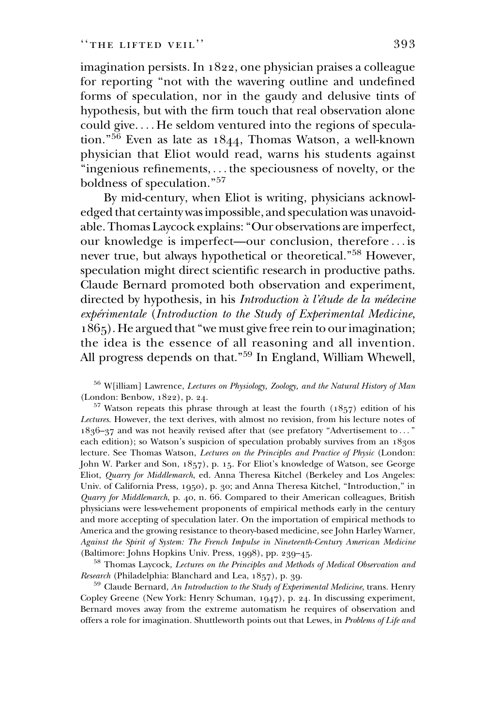imagination persists. In 1822, one physician praises a colleague for reporting ''not with the wavering outline and undefined forms of speculation, nor in the gaudy and delusive tints of hypothesis, but with the firm touch that real observation alone could give. ... He seldom ventured into the regions of speculation.''<sup>56</sup> Even as late as 1844, Thomas Watson, a well-known physician that Eliot would read, warns his students against ''ingenious refinements, ... the speciousness of novelty, or the boldness of speculation.''57

By mid-century, when Eliot is writing, physicians acknowledged that certainty was impossible, and speculation was unavoidable. Thomas Laycock explains: ''Our observations are imperfect, our knowledge is imperfect—our conclusion, therefore ... is never true, but always hypothetical or theoretical."<sup>58</sup> However, speculation might direct scientific research in productive paths. Claude Bernard promoted both observation and experiment, directed by hypothesis, in his Introduction à l'étude de la médecine expérimentale (Introduction to the Study of Experimental Medicine, 1865). He argued that ''we must give free rein to our imagination; the idea is the essence of all reasoning and all invention. All progress depends on that."<sup>59</sup> In England, William Whewell,

<sup>56</sup> W[illiam] Lawrence, Lectures on Physiology, Zoology, and the Natural History of Man (London: Benbow, 1822), p. 24.

 $57$  Watson repeats this phrase through at least the fourth (1857) edition of his Lectures. However, the text derives, with almost no revision, from his lecture notes of 1836–37 and was not heavily revised after that (see prefatory ''Advertisement to ... '' each edition); so Watson's suspicion of speculation probably survives from an 1830s lecture. See Thomas Watson, Lectures on the Principles and Practice of Physic (London: John W. Parker and Son, 1857), p. 15. For Eliot's knowledge of Watson, see George Eliot, Quarry for Middlemarch, ed. Anna Theresa Kitchel (Berkeley and Los Angeles: Univ. of California Press, 1950), p. 30; and Anna Theresa Kitchel, ''Introduction,'' in Quarry for Middlemarch, p. 40, n. 66. Compared to their American colleagues, British physicians were less-vehement proponents of empirical methods early in the century and more accepting of speculation later. On the importation of empirical methods to America and the growing resistance to theory-based medicine, see John Harley Warner, Against the Spirit of System: The French Impulse in Nineteenth-Century American Medicine (Baltimore: Johns Hopkins Univ. Press, 1998), pp. 239–45.

<sup>58</sup> Thomas Laycock, Lectures on the Principles and Methods of Medical Observation and Research (Philadelphia: Blanchard and Lea, 1857), p. 39.

 $^{59}$  Claude Bernard, An Introduction to the Study of Experimental Medicine, trans. Henry Copley Greene (New York: Henry Schuman, 1947), p. 24. In discussing experiment, Bernard moves away from the extreme automatism he requires of observation and offers a role for imagination. Shuttleworth points out that Lewes, in Problems of Life and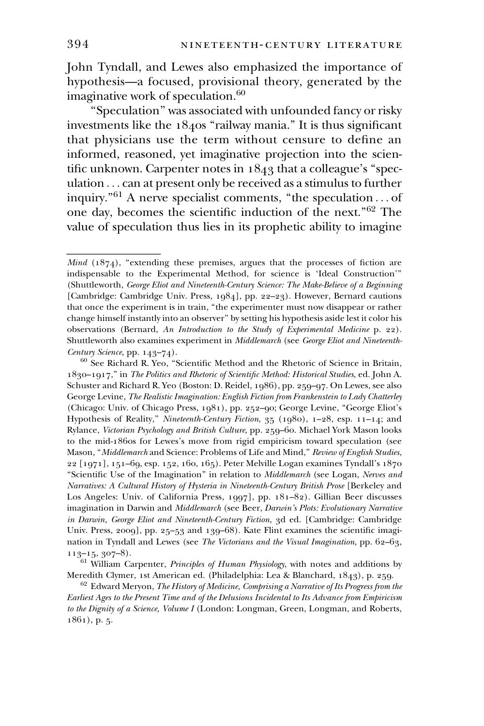John Tyndall, and Lewes also emphasized the importance of hypothesis—a focused, provisional theory, generated by the imaginative work of speculation.<sup>60</sup>

''Speculation'' was associated with unfounded fancy or risky investments like the  $1840s$  "railway mania." It is thus significant that physicians use the term without censure to define an informed, reasoned, yet imaginative projection into the scientific unknown. Carpenter notes in 1843 that a colleague's ''speculation... can at present only be received as a stimulus to further inquiry."<sup>61</sup> A nerve specialist comments, "the speculation... of one day, becomes the scientific induction of the next.''62 The 394<br>John Tyndall, and L<br>hypothesis—a focuse<br>imaginative work of s<br>"Speculation" wa<br>investments like the 1<br>that physicians use<br>informed, reasoned,<br>tific unknown. Carpe:<br>ulation ...can at pres<br>inquiry."<sup>61</sup> A nerve s<br>inquir value of speculation thus lies in its prophetic ability to imagine

Mind  $(1874)$ , "extending these premises, argues that the processes of fiction are indispensable to the Experimental Method, for science is 'Ideal Construction''' (Shuttleworth, George Eliot and Nineteenth-Century Science: The Make-Believe of a Beginning [Cambridge: Cambridge Univ. Press, 1984], pp. 22–23). However, Bernard cautions that once the experiment is in train, ''the experimenter must now disappear or rather change himself instantly into an observer'' by setting his hypothesis aside lest it color his observations (Bernard, An Introduction to the Study of Experimental Medicine p. 22). Shuttleworth also examines experiment in Middlemarch (see George Eliot and Nineteenth-Century Science, pp. 143–74).

<sup>60</sup> See Richard R. Yeo, ''Scientific Method and the Rhetoric of Science in Britain, 1830–1917,'' in The Politics and Rhetoric of Scientific Method: Historical Studies, ed. John A. Schuster and Richard R. Yeo (Boston: D. Reidel, 1986), pp. 259–97. On Lewes, see also George Levine, The Realistic Imagination: English Fiction from Frankenstein to Lady Chatterley (Chicago: Univ. of Chicago Press, 1981), pp. 252–90; George Levine, ''George Eliot's Hypothesis of Reality,'' Nineteenth-Century Fiction, 35 (1980), 1–28, esp. 11–14; and Rylance, Victorian Psychology and British Culture, pp. 259–60. Michael York Mason looks to the mid-1860s for Lewes's move from rigid empiricism toward speculation (see Mason, ''Middlemarch and Science: Problems of Life and Mind,'' Review of English Studies, 22 [1971], 151–69, esp. 152, 160, 165). Peter Melville Logan examines Tyndall's 1870 "Scientific Use of the Imagination" in relation to Middlemarch (see Logan, Nerves and Narratives: A Cultural History of Hysteria in Nineteenth-Century British Prose [Berkeley and Los Angeles: Univ. of California Press, 1997], pp. 181–82). Gillian Beer discusses imagination in Darwin and Middlemarch (see Beer, Darwin's Plots: Evolutionary Narrative in Darwin, George Eliot and Nineteenth-Century Fiction, 3d ed. [Cambridge: Cambridge Univ. Press, 2009], pp. 25–53 and 139–68). Kate Flint examines the scientific imagination in Tyndall and Lewes (see The Victorians and the Visual Imagination, pp. 62–63,  $113-15, 307-8$ ).

 $61$  William Carpenter, *Principles of Human Physiology*, with notes and additions by Meredith Clymer, 1st American ed. (Philadelphia: Lea & Blanchard, 1843), p. 259.

 $62$  Edward Meryon, The History of Medicine, Comprising a Narrative of Its Progress from the Earliest Ages to the Present Time and of the Delusions Incidental to Its Advance from Empiricism to the Dignity of a Science, Volume I (London: Longman, Green, Longman, and Roberts, 1861), p. 5.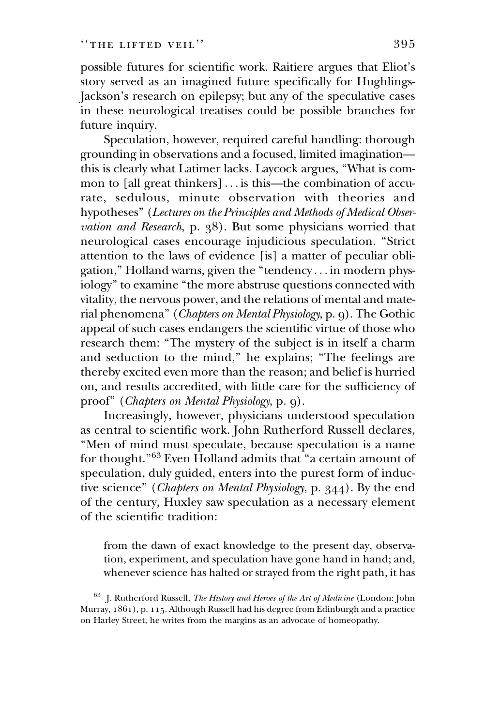possible futures for scientific work. Raitiere argues that Eliot's story served as an imagined future specifically for Hughlings-Jackson's research on epilepsy; but any of the speculative cases in these neurological treatises could be possible branches for future inquiry.

Speculation, however, required careful handling: thorough grounding in observations and a focused, limited imagination this is clearly what Latimer lacks. Laycock argues, ''What is common to [all great thinkers] ... is this—the combination of accurate, sedulous, minute observation with theories and hypotheses'' (Lectures on the Principles and Methods of Medical Observation and Research, p. 38). But some physicians worried that neurological cases encourage injudicious speculation. ''Strict attention to the laws of evidence [is] a matter of peculiar obligation,'' Holland warns, given the ''tendency ... in modern physiology'' to examine ''the more abstruse questions connected with vitality, the nervous power, and the relations of mental and material phenomena'' (Chapters on Mental Physiology, p. 9). The Gothic appeal of such cases endangers the scientific virtue of those who research them: ''The mystery of the subject is in itself a charm and seduction to the mind,'' he explains; ''The feelings are thereby excited even more than the reason; and belief is hurried on, and results accredited, with little care for the sufficiency of proof'' (Chapters on Mental Physiology, p. 9).

Increasingly, however, physicians understood speculation as central to scientific work. John Rutherford Russell declares, ''Men of mind must speculate, because speculation is a name for thought.''63 Even Holland admits that ''a certain amount of speculation, duly guided, enters into the purest form of inductive science'' (Chapters on Mental Physiology, p. 344). By the end of the century, Huxley saw speculation as a necessary element of the scientific tradition:

from the dawn of exact knowledge to the present day, observation, experiment, and speculation have gone hand in hand; and, whenever science has halted or strayed from the right path, it has

<sup>63</sup> J. Rutherford Russell, *The History and Heroes of the Art of Medicine* (London: John Murray, 1861), p. 115. Although Russell had his degree from Edinburgh and a practice on Harley Street, he writes from the margins as an advocate of homeopathy.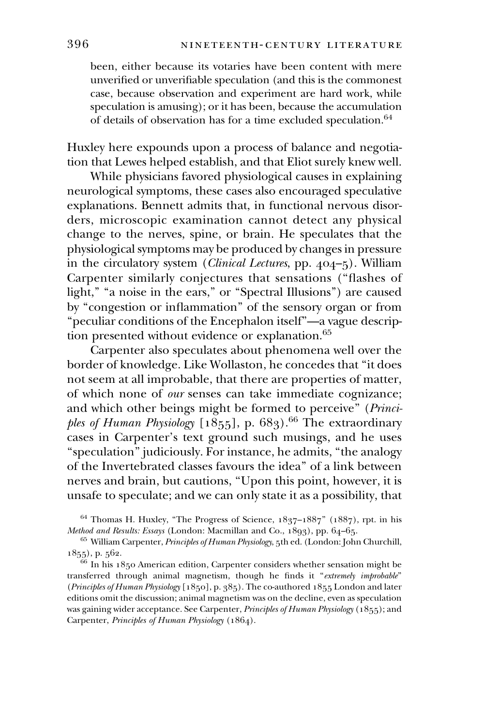been, either because its votaries have been content with mere unverified or unverifiable speculation (and this is the commonest case, because observation and experiment are hard work, while speculation is amusing); or it has been, because the accumulation of details of observation has for a time excluded speculation.<sup>64</sup>

Huxley here expounds upon a process of balance and negotiation that Lewes helped establish, and that Eliot surely knew well.

While physicians favored physiological causes in explaining neurological symptoms, these cases also encouraged speculative explanations. Bennett admits that, in functional nervous disorders, microscopic examination cannot detect any physical change to the nerves, spine, or brain. He speculates that the physiological symptoms may be produced by changes in pressure in the circulatory system (Clinical Lectures, pp. 404–5). William Carpenter similarly conjectures that sensations (''flashes of light," "a noise in the ears," or "Spectral Illusions") are caused by ''congestion or inflammation'' of the sensory organ or from ''peculiar conditions of the Encephalon itself''—a vague description presented without evidence or explanation.<sup>65</sup>

Carpenter also speculates about phenomena well over the border of knowledge. Like Wollaston, he concedes that ''it does not seem at all improbable, that there are properties of matter, of which none of our senses can take immediate cognizance; and which other beings might be formed to perceive'' (Principles of Human Physiology  $[1855]$ , p. 683).<sup>66</sup> The extraordinary cases in Carpenter's text ground such musings, and he uses ''speculation'' judiciously. For instance, he admits, ''the analogy of the Invertebrated classes favours the idea'' of a link between nerves and brain, but cautions, ''Upon this point, however, it is unsafe to speculate; and we can only state it as a possibility, that

 $64$  Thomas H. Huxley, "The Progress of Science,  $1837-1887$ " ( $1887$ ), rpt. in his Method and Results: Essays (London: Macmillan and Co., 1893), pp. 64–65.

<sup>65</sup> William Carpenter, *Principles of Human Physiology*, 5th ed. (London: John Churchill, 1855), p. 562.

<sup>66</sup> In his 1850 American edition, Carpenter considers whether sensation might be transferred through animal magnetism, though he finds it ''extremely improbable'' (Principles of Human Physiology [1850], p. 385). The co-authored 1855 London and later editions omit the discussion; animal magnetism was on the decline, even as speculation was gaining wider acceptance. See Carpenter, Principles of Human Physiology (1855); and Carpenter, Principles of Human Physiology (1864).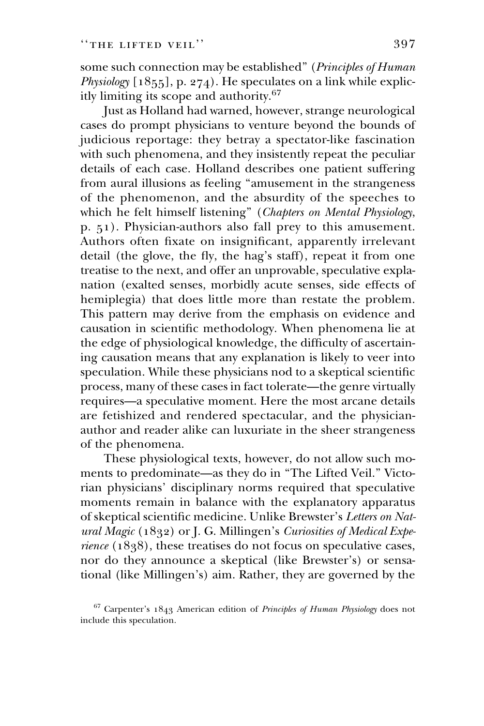some such connection may be established'' (Principles of Human Physiology  $[1855]$ , p. 274). He speculates on a link while explicitly limiting its scope and authority.<sup>67</sup>

Just as Holland had warned, however, strange neurological cases do prompt physicians to venture beyond the bounds of judicious reportage: they betray a spectator-like fascination with such phenomena, and they insistently repeat the peculiar details of each case. Holland describes one patient suffering from aural illusions as feeling ''amusement in the strangeness of the phenomenon, and the absurdity of the speeches to which he felt himself listening" (Chapters on Mental Physiology, p. 51). Physician-authors also fall prey to this amusement. Authors often fixate on insignificant, apparently irrelevant detail (the glove, the fly, the hag's staff), repeat it from one treatise to the next, and offer an unprovable, speculative explanation (exalted senses, morbidly acute senses, side effects of hemiplegia) that does little more than restate the problem. This pattern may derive from the emphasis on evidence and causation in scientific methodology. When phenomena lie at the edge of physiological knowledge, the difficulty of ascertaining causation means that any explanation is likely to veer into speculation. While these physicians nod to a skeptical scientific process, many of these cases in fact tolerate—the genre virtually requires—a speculative moment. Here the most arcane details are fetishized and rendered spectacular, and the physicianauthor and reader alike can luxuriate in the sheer strangeness of the phenomena.

These physiological texts, however, do not allow such moments to predominate—as they do in ''The Lifted Veil.'' Victorian physicians' disciplinary norms required that speculative moments remain in balance with the explanatory apparatus of skeptical scientific medicine. Unlike Brewster's Letters on Natural Magic (1832) or J. G. Millingen's Curiosities of Medical Experience (1838), these treatises do not focus on speculative cases, nor do they announce a skeptical (like Brewster's) or sensational (like Millingen's) aim. Rather, they are governed by the

<sup>67</sup> Carpenter's 1843 American edition of Principles of Human Physiology does not include this speculation.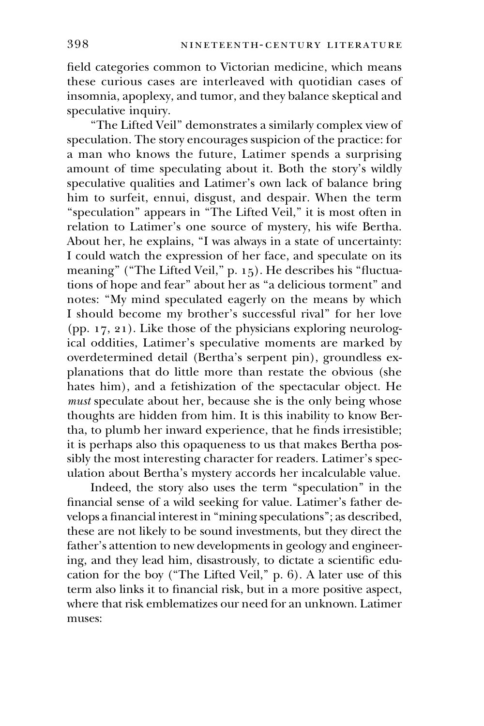field categories common to Victorian medicine, which means these curious cases are interleaved with quotidian cases of insomnia, apoplexy, and tumor, and they balance skeptical and speculative inquiry.

''The Lifted Veil'' demonstrates a similarly complex view of speculation. The story encourages suspicion of the practice: for a man who knows the future, Latimer spends a surprising amount of time speculating about it. Both the story's wildly speculative qualities and Latimer's own lack of balance bring him to surfeit, ennui, disgust, and despair. When the term "speculation" appears in "The Lifted Veil," it is most often in relation to Latimer's one source of mystery, his wife Bertha. About her, he explains, ''I was always in a state of uncertainty: I could watch the expression of her face, and speculate on its meaning" ("The Lifted Veil," p. 15). He describes his "fluctuations of hope and fear'' about her as ''a delicious torment'' and notes: ''My mind speculated eagerly on the means by which I should become my brother's successful rival'' for her love (pp. 17, 21). Like those of the physicians exploring neurological oddities, Latimer's speculative moments are marked by overdetermined detail (Bertha's serpent pin), groundless explanations that do little more than restate the obvious (she hates him), and a fetishization of the spectacular object. He must speculate about her, because she is the only being whose thoughts are hidden from him. It is this inability to know Bertha, to plumb her inward experience, that he finds irresistible; it is perhaps also this opaqueness to us that makes Bertha possibly the most interesting character for readers. Latimer's speculation about Bertha's mystery accords her incalculable value.

Indeed, the story also uses the term ''speculation'' in the financial sense of a wild seeking for value. Latimer's father develops a financial interest in ''mining speculations''; as described, these are not likely to be sound investments, but they direct the father's attention to new developments in geology and engineering, and they lead him, disastrously, to dictate a scientific education for the boy (''The Lifted Veil,'' p. 6). A later use of this term also links it to financial risk, but in a more positive aspect, where that risk emblematizes our need for an unknown. Latimer muses: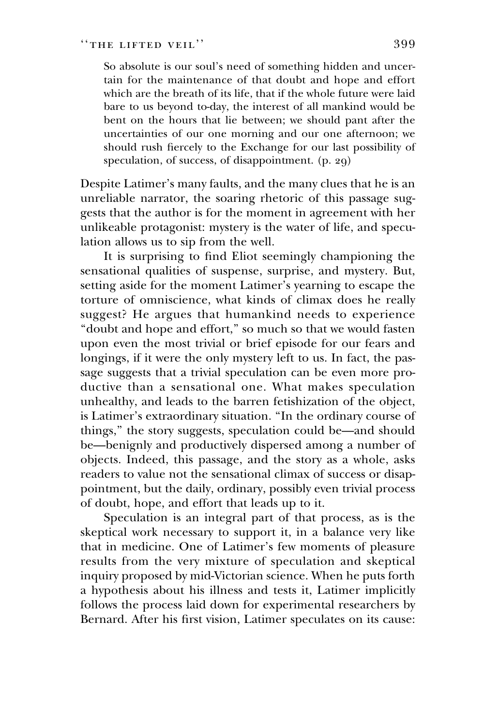So absolute is our soul's need of something hidden and uncertain for the maintenance of that doubt and hope and effort which are the breath of its life, that if the whole future were laid bare to us beyond to-day, the interest of all mankind would be bent on the hours that lie between; we should pant after the uncertainties of our one morning and our one afternoon; we should rush fiercely to the Exchange for our last possibility of speculation, of success, of disappointment. (p. 29)

Despite Latimer's many faults, and the many clues that he is an unreliable narrator, the soaring rhetoric of this passage suggests that the author is for the moment in agreement with her unlikeable protagonist: mystery is the water of life, and speculation allows us to sip from the well.

It is surprising to find Eliot seemingly championing the sensational qualities of suspense, surprise, and mystery. But, setting aside for the moment Latimer's yearning to escape the torture of omniscience, what kinds of climax does he really suggest? He argues that humankind needs to experience "doubt and hope and effort," so much so that we would fasten upon even the most trivial or brief episode for our fears and longings, if it were the only mystery left to us. In fact, the passage suggests that a trivial speculation can be even more productive than a sensational one. What makes speculation unhealthy, and leads to the barren fetishization of the object, is Latimer's extraordinary situation. ''In the ordinary course of things,'' the story suggests, speculation could be—and should be—benignly and productively dispersed among a number of objects. Indeed, this passage, and the story as a whole, asks readers to value not the sensational climax of success or disappointment, but the daily, ordinary, possibly even trivial process of doubt, hope, and effort that leads up to it.

Speculation is an integral part of that process, as is the skeptical work necessary to support it, in a balance very like that in medicine. One of Latimer's few moments of pleasure results from the very mixture of speculation and skeptical inquiry proposed by mid-Victorian science. When he puts forth a hypothesis about his illness and tests it, Latimer implicitly follows the process laid down for experimental researchers by Bernard. After his first vision, Latimer speculates on its cause: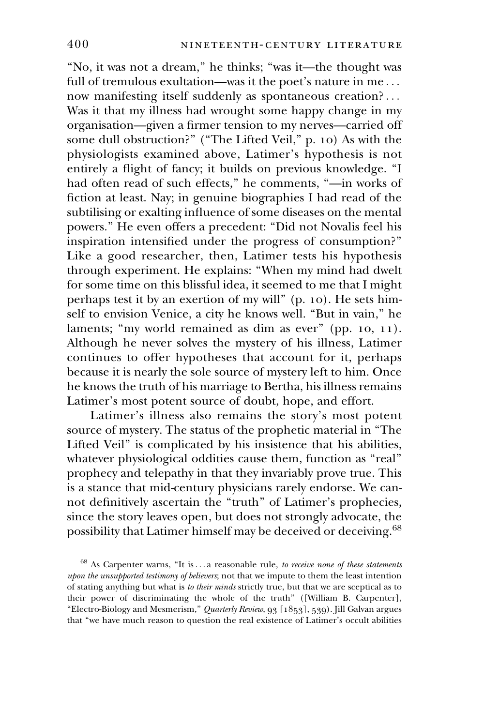''No, it was not a dream,'' he thinks; ''was it—the thought was full of tremulous exultation—was it the poet's nature in me... now manifesting itself suddenly as spontaneous creation?... Was it that my illness had wrought some happy change in my organisation—given a firmer tension to my nerves—carried off some dull obstruction?'' (''The Lifted Veil,'' p. 10) As with the physiologists examined above, Latimer's hypothesis is not entirely a flight of fancy; it builds on previous knowledge. ''I had often read of such effects," he comments, "-in works of fiction at least. Nay; in genuine biographies I had read of the subtilising or exalting influence of some diseases on the mental powers.'' He even offers a precedent: ''Did not Novalis feel his inspiration intensified under the progress of consumption?'' Like a good researcher, then, Latimer tests his hypothesis through experiment. He explains: ''When my mind had dwelt for some time on this blissful idea, it seemed to me that I might perhaps test it by an exertion of my will'' (p. 10). He sets himself to envision Venice, a city he knows well. ''But in vain,'' he laments; "my world remained as dim as ever" (pp. 10, 11). Although he never solves the mystery of his illness, Latimer continues to offer hypotheses that account for it, perhaps because it is nearly the sole source of mystery left to him. Once he knows the truth of his marriage to Bertha, his illness remains Latimer's most potent source of doubt, hope, and effort.

Latimer's illness also remains the story's most potent source of mystery. The status of the prophetic material in ''The Lifted Veil'' is complicated by his insistence that his abilities, whatever physiological oddities cause them, function as "real" prophecy and telepathy in that they invariably prove true. This is a stance that mid-century physicians rarely endorse. We cannot definitively ascertain the ''truth'' of Latimer's prophecies, since the story leaves open, but does not strongly advocate, the possibility that Latimer himself may be deceived or deceiving.<sup>68</sup>

 $68$  As Carpenter warns, "It is... a reasonable rule, to receive none of these statements upon the unsupported testimony of believers; not that we impute to them the least intention of stating anything but what is to their minds strictly true, but that we are sceptical as to their power of discriminating the whole of the truth'' ([William B. Carpenter], "Electro-Biology and Mesmerism," Quarterly Review, 93 [1853], 539). Jill Galvan argues that ''we have much reason to question the real existence of Latimer's occult abilities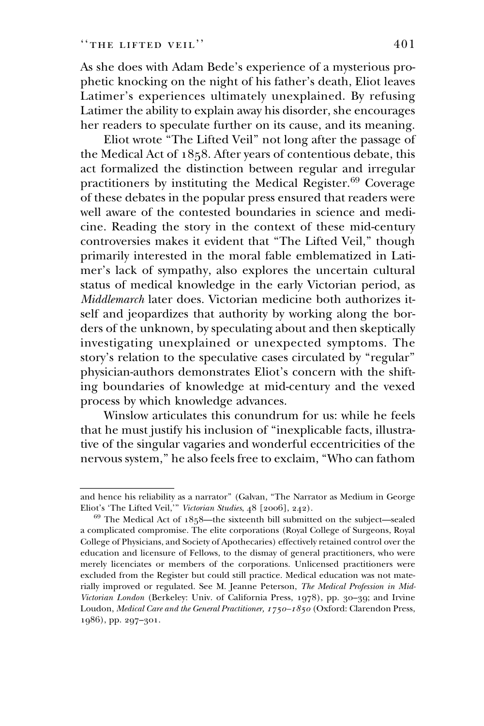As she does with Adam Bede's experience of a mysterious prophetic knocking on the night of his father's death, Eliot leaves Latimer's experiences ultimately unexplained. By refusing Latimer the ability to explain away his disorder, she encourages her readers to speculate further on its cause, and its meaning.

Eliot wrote ''The Lifted Veil'' not long after the passage of the Medical Act of 1858. After years of contentious debate, this act formalized the distinction between regular and irregular practitioners by instituting the Medical Register.<sup>69</sup> Coverage of these debates in the popular press ensured that readers were well aware of the contested boundaries in science and medicine. Reading the story in the context of these mid-century controversies makes it evident that ''The Lifted Veil,'' though primarily interested in the moral fable emblematized in Latimer's lack of sympathy, also explores the uncertain cultural status of medical knowledge in the early Victorian period, as Middlemarch later does. Victorian medicine both authorizes itself and jeopardizes that authority by working along the borders of the unknown, by speculating about and then skeptically investigating unexplained or unexpected symptoms. The story's relation to the speculative cases circulated by ''regular'' physician-authors demonstrates Eliot's concern with the shifting boundaries of knowledge at mid-century and the vexed process by which knowledge advances. of these debates in th<br>well aware of the co<br>cine. Reading the st<br>controversies makes<br>primarily interested<br>mer's lack of sympa<br>status of medical kn<br>*Middlemarch* later doo<br>self and jeopardizes<br>ders of the unknown,<br>investiga

Winslow articulates this conundrum for us: while he feels that he must justify his inclusion of ''inexplicable facts, illustrative of the singular vagaries and wonderful eccentricities of the nervous system,'' he also feels free to exclaim, ''Who can fathom

and hence his reliability as a narrator'' (Galvan, ''The Narrator as Medium in George Eliot's 'The Lifted Veil,''' Victorian Studies, 48 [2006], 242).

 $69$  The Medical Act of  $1858$ —the sixteenth bill submitted on the subject—sealed a complicated compromise. The elite corporations (Royal College of Surgeons, Royal College of Physicians, and Society of Apothecaries) effectively retained control over the education and licensure of Fellows, to the dismay of general practitioners, who were merely licenciates or members of the corporations. Unlicensed practitioners were excluded from the Register but could still practice. Medical education was not materially improved or regulated. See M. Jeanne Peterson, The Medical Profession in Mid-Victorian London (Berkeley: Univ. of California Press, 1978), pp. 30–39; and Irvine Loudon, Medical Care and the General Practitioner, 1750–1850 (Oxford: Clarendon Press, 1986), pp. 297–301.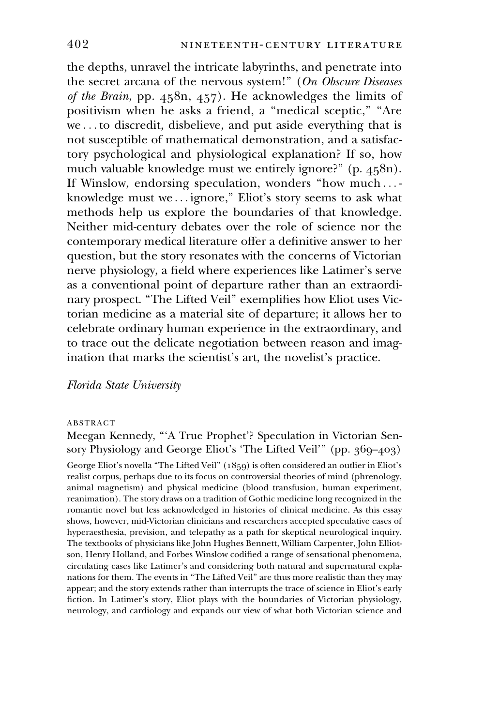the depths, unravel the intricate labyrinths, and penetrate into the secret arcana of the nervous system!" (On Obscure Diseases of the Brain, pp. 458n, 457). He acknowledges the limits of positivism when he asks a friend, a "medical sceptic," "Are we ... to discredit, disbelieve, and put aside everything that is not susceptible of mathematical demonstration, and a satisfactory psychological and physiological explanation? If so, how much valuable knowledge must we entirely ignore?" (p. 458n). If Winslow, endorsing speculation, wonders ''how much ... knowledge must we ... ignore," Eliot's story seems to ask what methods help us explore the boundaries of that knowledge. Neither mid-century debates over the role of science nor the contemporary medical literature offer a definitive answer to her question, but the story resonates with the concerns of Victorian nerve physiology, a field where experiences like Latimer's serve as a conventional point of departure rather than an extraordinary prospect. ''The Lifted Veil'' exemplifies how Eliot uses Victorian medicine as a material site of departure; it allows her to celebrate ordinary human experience in the extraordinary, and to trace out the delicate negotiation between reason and imagination that marks the scientist's art, the novelist's practice.

#### Florida State University

#### ABSTRACT

Meegan Kennedy, '''A True Prophet'? Speculation in Victorian Sensory Physiology and George Eliot's 'The Lifted Veil''' (pp. 369–403) George Eliot's novella "The Lifted Veil" (1859) is often considered an outlier in Eliot's realist corpus, perhaps due to its focus on controversial theories of mind (phrenology, animal magnetism) and physical medicine (blood transfusion, human experiment, reanimation). The story draws on a tradition of Gothic medicine long recognized in the romantic novel but less acknowledged in histories of clinical medicine. As this essay shows, however, mid-Victorian clinicians and researchers accepted speculative cases of hyperaesthesia, prevision, and telepathy as a path for skeptical neurological inquiry. The textbooks of physicians like John Hughes Bennett, William Carpenter, John Elliotson, Henry Holland, and Forbes Winslow codified a range of sensational phenomena, circulating cases like Latimer's and considering both natural and supernatural explanations for them. The events in ''The Lifted Veil'' are thus more realistic than they may appear; and the story extends rather than interrupts the trace of science in Eliot's early fiction. In Latimer's story, Eliot plays with the boundaries of Victorian physiology, neurology, and cardiology and expands our view of what both Victorian science and